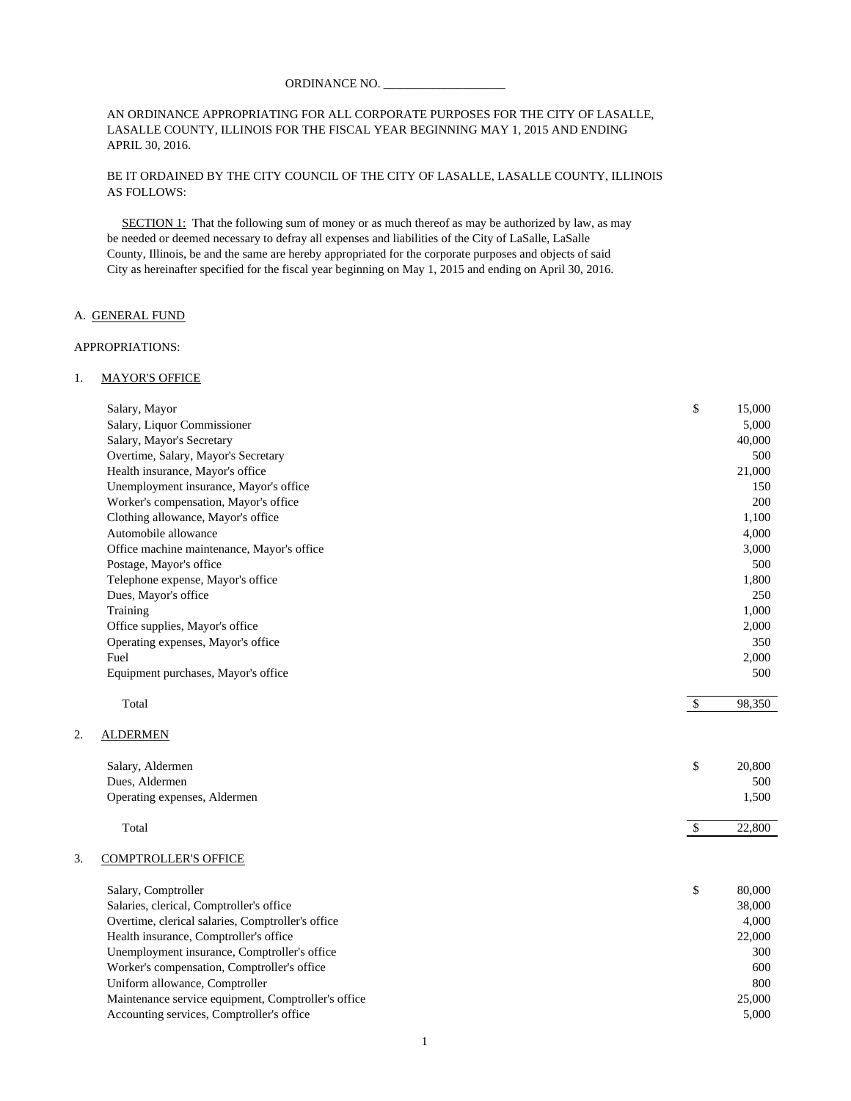#### AN ORDINANCE APPROPRIATING FOR ALL CORPORATE PURPOSES FOR THE CITY OF LASALLE, LASALLE COUNTY, ILLINOIS FOR THE FISCAL YEAR BEGINNING MAY 1, 2015 AND ENDING APRIL 30, 2016.

#### BE IT ORDAINED BY THE CITY COUNCIL OF THE CITY OF LASALLE, LASALLE COUNTY, ILLINOIS AS FOLLOWS:

SECTION 1: That the following sum of money or as much thereof as may be authorized by law, as may be needed or deemed necessary to defray all expenses and liabilities of the City of LaSalle, LaSalle County, Illinois, be and the same are hereby appropriated for the corporate purposes and objects of said City as hereinafter specified for the fiscal year beginning on May 1, 2015 and ending on April 30, 2016.

#### A. GENERAL FUND

#### APPROPRIATIONS:

#### 1. MAYOR'S OFFICE

|    | Salary, Mayor                                       | \$         | 15,000 |
|----|-----------------------------------------------------|------------|--------|
|    | Salary, Liquor Commissioner                         |            | 5,000  |
|    | Salary, Mayor's Secretary                           |            | 40,000 |
|    | Overtime, Salary, Mayor's Secretary                 |            | 500    |
|    | Health insurance, Mayor's office                    |            | 21,000 |
|    | Unemployment insurance, Mayor's office              |            | 150    |
|    | Worker's compensation, Mayor's office               |            | 200    |
|    | Clothing allowance, Mayor's office                  |            | 1,100  |
|    | Automobile allowance                                |            | 4,000  |
|    | Office machine maintenance, Mayor's office          |            | 3,000  |
|    | Postage, Mayor's office                             |            | 500    |
|    | Telephone expense, Mayor's office                   |            | 1,800  |
|    | Dues, Mayor's office                                |            | 250    |
|    | Training                                            |            | 1,000  |
|    | Office supplies, Mayor's office                     |            | 2,000  |
|    | Operating expenses, Mayor's office                  |            | 350    |
|    | Fuel                                                |            | 2,000  |
|    | Equipment purchases, Mayor's office                 |            | 500    |
|    | Total                                               | $\sqrt{3}$ | 98,350 |
| 2. | <b>ALDERMEN</b>                                     |            |        |
|    | Salary, Aldermen                                    | \$         | 20,800 |
|    | Dues, Aldermen                                      |            | 500    |
|    | Operating expenses, Aldermen                        |            | 1,500  |
|    | Total                                               | $\sqrt{3}$ | 22,800 |
| 3. | <b>COMPTROLLER'S OFFICE</b>                         |            |        |
|    | Salary, Comptroller                                 | \$         | 80,000 |
|    | Salaries, clerical, Comptroller's office            |            | 38,000 |
|    | Overtime, clerical salaries, Comptroller's office   |            | 4,000  |
|    | Health insurance, Comptroller's office              |            | 22,000 |
|    | Unemployment insurance, Comptroller's office        |            | 300    |
|    | Worker's compensation, Comptroller's office         |            | 600    |
|    | Uniform allowance, Comptroller                      |            | 800    |
|    | Maintenance service equipment, Comptroller's office |            | 25,000 |
|    | Accounting services, Comptroller's office           |            | 5,000  |
|    |                                                     |            |        |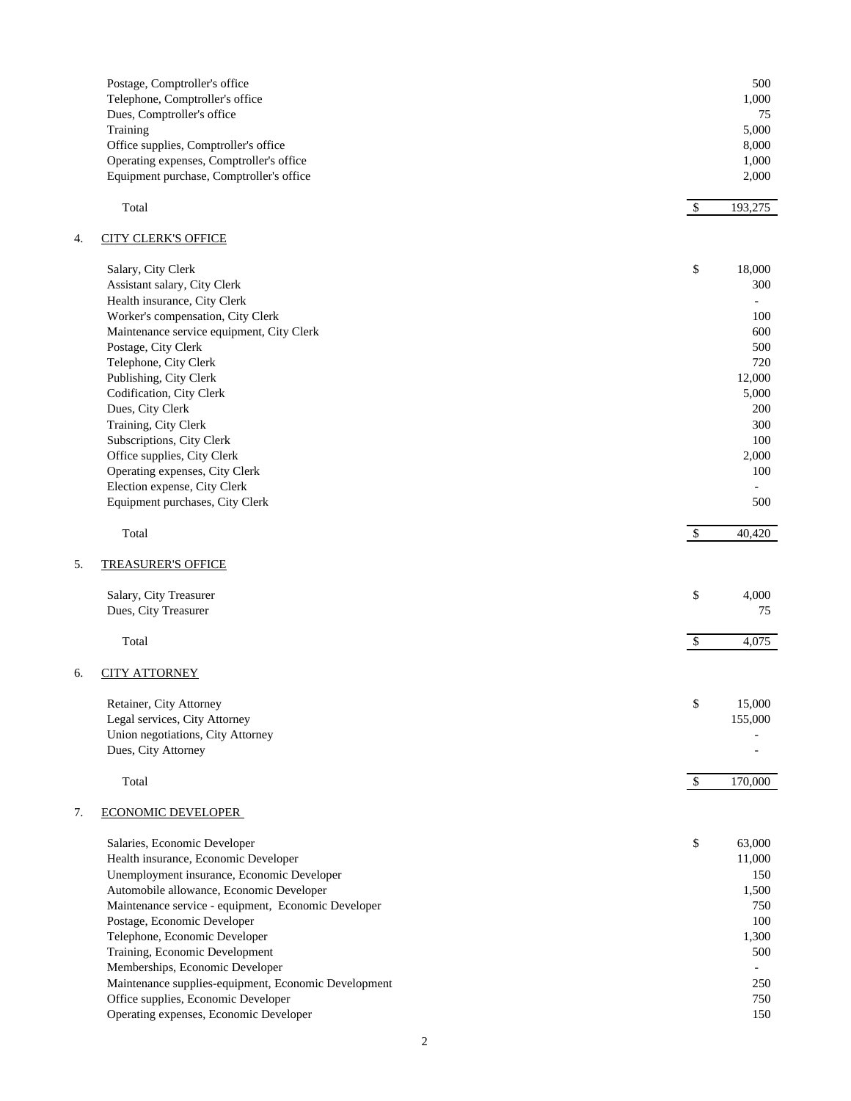|    | Postage, Comptroller's office<br>Telephone, Comptroller's office<br>Dues, Comptroller's office<br>Training |               | 500<br>1,000<br>75<br>5,000 |
|----|------------------------------------------------------------------------------------------------------------|---------------|-----------------------------|
|    | Office supplies, Comptroller's office                                                                      |               | 8,000                       |
|    | Operating expenses, Comptroller's office                                                                   |               | 1,000                       |
|    | Equipment purchase, Comptroller's office                                                                   |               | 2,000                       |
|    | Total                                                                                                      | $\mathcal{S}$ | 193,275                     |
| 4. | <b>CITY CLERK'S OFFICE</b>                                                                                 |               |                             |
|    | Salary, City Clerk                                                                                         | \$            | 18,000                      |
|    | Assistant salary, City Clerk                                                                               |               | 300                         |
|    | Health insurance, City Clerk                                                                               |               |                             |
|    | Worker's compensation, City Clerk                                                                          |               | 100                         |
|    | Maintenance service equipment, City Clerk                                                                  |               | 600                         |
|    | Postage, City Clerk                                                                                        |               | 500                         |
|    | Telephone, City Clerk                                                                                      |               | 720                         |
|    | Publishing, City Clerk                                                                                     |               | 12,000                      |
|    | Codification, City Clerk                                                                                   |               | 5,000                       |
|    | Dues, City Clerk                                                                                           |               | 200                         |
|    | Training, City Clerk                                                                                       |               | 300                         |
|    | Subscriptions, City Clerk                                                                                  |               | 100                         |
|    | Office supplies, City Clerk                                                                                |               | 2,000                       |
|    | Operating expenses, City Clerk                                                                             |               | 100                         |
|    | Election expense, City Clerk<br>Equipment purchases, City Clerk                                            |               | 500                         |
|    |                                                                                                            |               |                             |
|    | Total                                                                                                      | $\mathcal{S}$ | 40,420                      |
| 5. | <b>TREASURER'S OFFICE</b>                                                                                  |               |                             |
|    | Salary, City Treasurer                                                                                     | \$            | 4,000                       |
|    | Dues, City Treasurer                                                                                       |               | 75                          |
|    |                                                                                                            |               |                             |
|    | Total                                                                                                      | $\mathcal{S}$ | 4,075                       |
| 6. | <b>CITY ATTORNEY</b>                                                                                       |               |                             |
|    | Retainer, City Attorney                                                                                    | \$            | 15,000                      |
|    | Legal services, City Attorney                                                                              |               | 155,000                     |
|    | Union negotiations, City Attorney                                                                          |               |                             |
|    | Dues, City Attorney                                                                                        |               |                             |
|    |                                                                                                            |               |                             |
|    | Total                                                                                                      | $\mathcal{S}$ | 170,000                     |
| 7. | <b>ECONOMIC DEVELOPER</b>                                                                                  |               |                             |
|    | Salaries, Economic Developer                                                                               | \$            | 63,000                      |
|    | Health insurance, Economic Developer                                                                       |               | 11,000                      |
|    | Unemployment insurance, Economic Developer                                                                 |               | 150                         |
|    | Automobile allowance, Economic Developer                                                                   |               | 1,500                       |
|    | Maintenance service - equipment, Economic Developer                                                        |               | 750                         |
|    | Postage, Economic Developer                                                                                |               | 100                         |
|    | Telephone, Economic Developer                                                                              |               | 1,300                       |
|    | Training, Economic Development                                                                             |               | 500                         |
|    | Memberships, Economic Developer                                                                            |               | $\overline{\phantom{a}}$    |
|    | Maintenance supplies-equipment, Economic Development                                                       |               | 250                         |
|    | Office supplies, Economic Developer                                                                        |               | 750                         |
|    | Operating expenses, Economic Developer                                                                     |               | 150                         |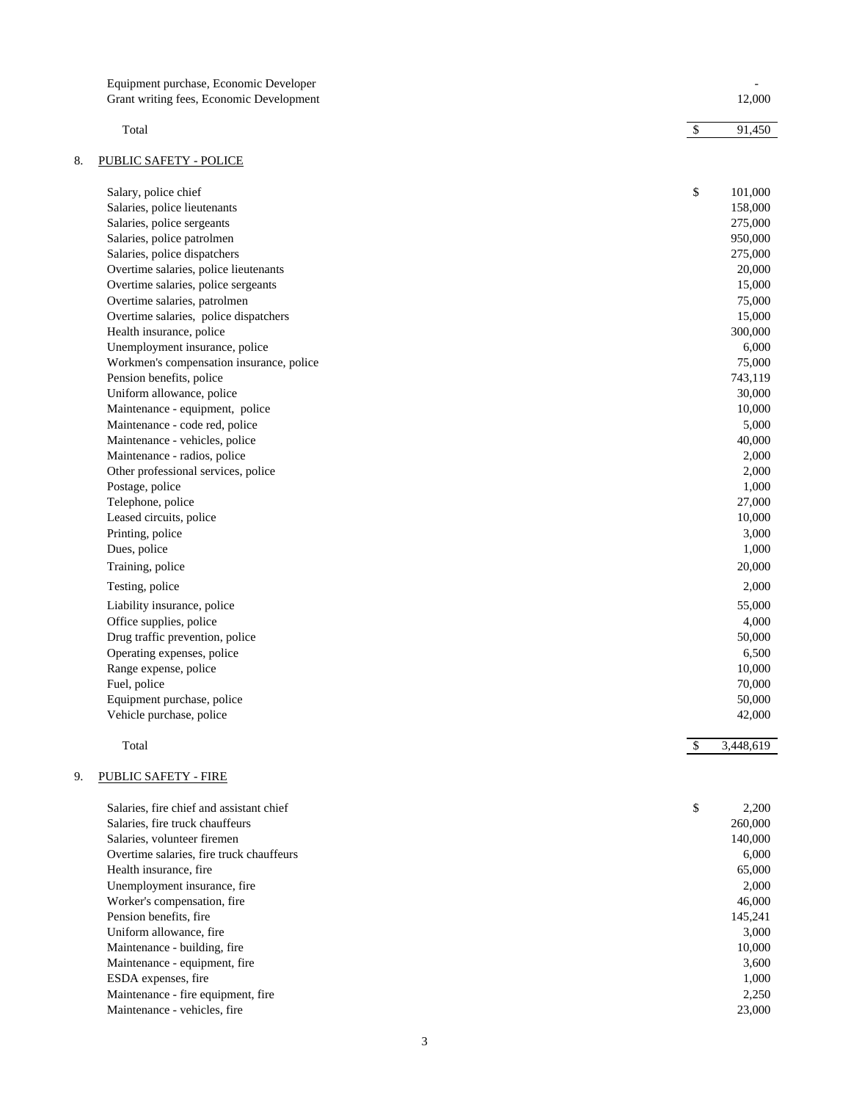|    | Equipment purchase, Economic Developer   |               |           |
|----|------------------------------------------|---------------|-----------|
|    | Grant writing fees, Economic Development |               | 12,000    |
|    |                                          |               |           |
|    | Total                                    | $\mathcal{S}$ | 91,450    |
| 8. | <b>PUBLIC SAFETY - POLICE</b>            |               |           |
|    | Salary, police chief                     | \$            | 101,000   |
|    | Salaries, police lieutenants             |               | 158,000   |
|    | Salaries, police sergeants               |               | 275,000   |
|    | Salaries, police patrolmen               |               | 950,000   |
|    | Salaries, police dispatchers             |               | 275,000   |
|    | Overtime salaries, police lieutenants    |               | 20,000    |
|    | Overtime salaries, police sergeants      |               | 15,000    |
|    | Overtime salaries, patrolmen             |               | 75,000    |
|    | Overtime salaries, police dispatchers    |               | 15,000    |
|    | Health insurance, police                 |               | 300,000   |
|    | Unemployment insurance, police           |               | 6,000     |
|    | Workmen's compensation insurance, police |               | 75,000    |
|    | Pension benefits, police                 |               | 743,119   |
|    | Uniform allowance, police                |               | 30,000    |
|    | Maintenance - equipment, police          |               | 10,000    |
|    | Maintenance - code red, police           |               | 5,000     |
|    | Maintenance - vehicles, police           |               | 40,000    |
|    | Maintenance - radios, police             |               | 2,000     |
|    | Other professional services, police      |               | 2,000     |
|    | Postage, police                          |               | 1,000     |
|    | Telephone, police                        |               | 27,000    |
|    | Leased circuits, police                  |               | 10,000    |
|    | Printing, police                         |               | 3,000     |
|    | Dues, police                             |               | 1,000     |
|    | Training, police                         |               | 20,000    |
|    | Testing, police                          |               | 2,000     |
|    | Liability insurance, police              |               | 55,000    |
|    | Office supplies, police                  |               | 4,000     |
|    | Drug traffic prevention, police          |               | 50,000    |
|    | Operating expenses, police               |               | 6,500     |
|    | Range expense, police                    |               | 10,000    |
|    | Fuel, police                             |               | 70,000    |
|    | Equipment purchase, police               |               | 50,000    |
|    | Vehicle purchase, police                 |               | 42,000    |
|    |                                          |               |           |
|    | Total                                    | $\mathcal{S}$ | 3,448,619 |
| 9. | <b>PUBLIC SAFETY - FIRE</b>              |               |           |
|    | Salaries, fire chief and assistant chief | \$            | 2,200     |
|    | Salaries, fire truck chauffeurs          |               | 260,000   |
|    | Salaries, volunteer firemen              |               | 140,000   |
|    | Overtime salaries, fire truck chauffeurs |               | 6,000     |
|    | Health insurance, fire                   |               | 65,000    |
|    | Unemployment insurance, fire             |               | 2,000     |
|    | Worker's compensation, fire              |               | 46,000    |
|    | Pension benefits, fire                   |               | 145,241   |
|    | Uniform allowance, fire                  |               | 3,000     |
|    | Maintenance - building, fire             |               | 10,000    |
|    | Maintenance - equipment, fire            |               | 3,600     |
|    | ESDA expenses, fire                      |               | 1,000     |

Maintenance - fire equipment, fire 2,250 Maintenance - vehicles, fire 23,000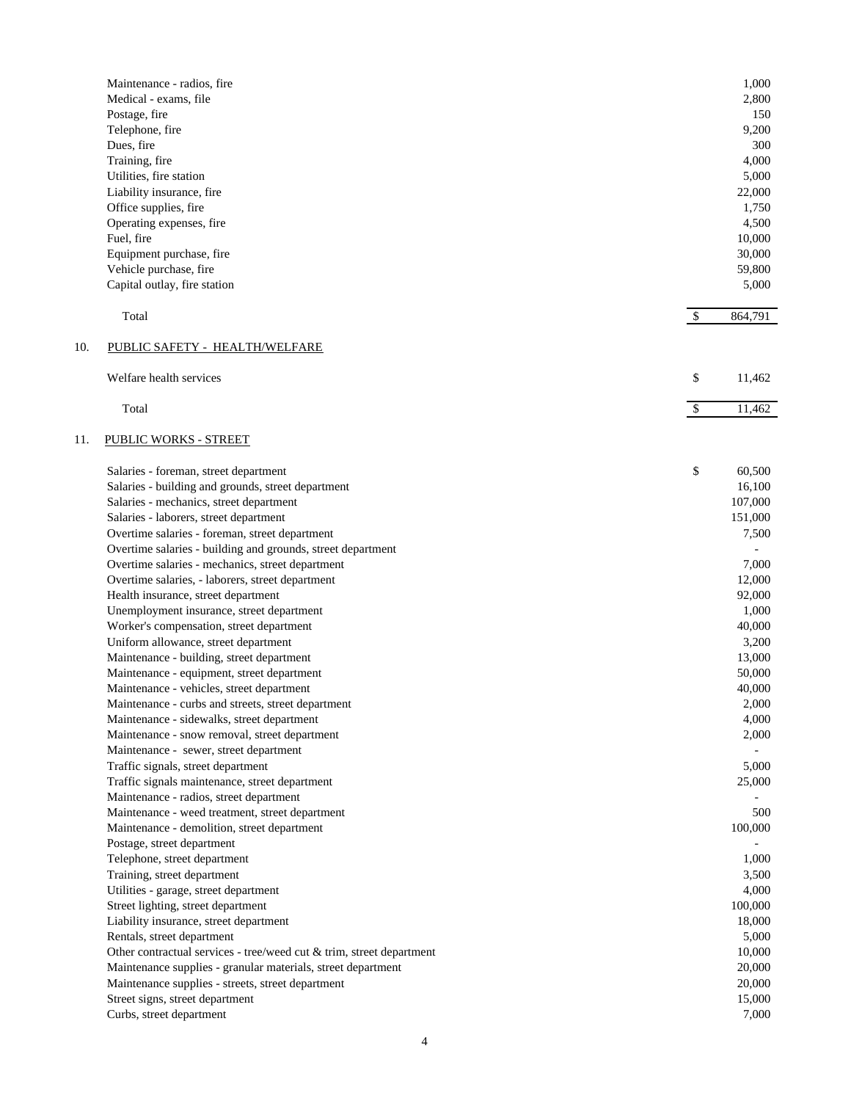|     | Maintenance - radios, fire                                           |               | 1,000          |
|-----|----------------------------------------------------------------------|---------------|----------------|
|     | Medical - exams, file                                                |               | 2,800          |
|     | Postage, fire                                                        |               | 150            |
|     | Telephone, fire                                                      |               | 9,200          |
|     | Dues, fire                                                           |               | 300            |
|     | Training, fire                                                       |               | 4,000          |
|     | Utilities, fire station                                              |               | 5,000          |
|     | Liability insurance, fire                                            |               | 22,000         |
|     | Office supplies, fire                                                |               | 1,750          |
|     | Operating expenses, fire                                             |               | 4,500          |
|     | Fuel, fire                                                           |               | 10,000         |
|     | Equipment purchase, fire                                             |               | 30,000         |
|     | Vehicle purchase, fire                                               |               | 59,800         |
|     | Capital outlay, fire station                                         |               | 5,000          |
|     | Total                                                                | $\mathcal{S}$ | 864,791        |
| 10. | PUBLIC SAFETY - HEALTH/WELFARE                                       |               |                |
|     | Welfare health services                                              | \$            | 11,462         |
|     | Total                                                                | $\mathcal{S}$ | 11,462         |
| 11. | <b>PUBLIC WORKS - STREET</b>                                         |               |                |
|     | Salaries - foreman, street department                                | \$            | 60,500         |
|     | Salaries - building and grounds, street department                   |               | 16,100         |
|     | Salaries - mechanics, street department                              |               | 107,000        |
|     | Salaries - laborers, street department                               |               | 151,000        |
|     | Overtime salaries - foreman, street department                       |               | 7,500          |
|     | Overtime salaries - building and grounds, street department          |               |                |
|     | Overtime salaries - mechanics, street department                     |               | 7,000          |
|     | Overtime salaries, - laborers, street department                     |               | 12,000         |
|     | Health insurance, street department                                  |               | 92,000         |
|     | Unemployment insurance, street department                            |               | 1,000          |
|     | Worker's compensation, street department                             |               | 40,000         |
|     | Uniform allowance, street department                                 |               | 3,200          |
|     | Maintenance - building, street department                            |               | 13,000         |
|     | Maintenance - equipment, street department                           |               | 50,000         |
|     | Maintenance - vehicles, street department                            |               | 40,000         |
|     | Maintenance - curbs and streets, street department                   |               | 2,000          |
|     | Maintenance - sidewalks, street department                           |               | 4,000          |
|     | Maintenance - snow removal, street department                        |               | 2,000          |
|     | Maintenance - sewer, street department                               |               |                |
|     | Traffic signals, street department                                   |               | 5,000          |
|     | Traffic signals maintenance, street department                       |               | 25,000         |
|     | Maintenance - radios, street department                              |               |                |
|     | Maintenance - weed treatment, street department                      |               | 500            |
|     | Maintenance - demolition, street department                          |               | 100,000        |
|     |                                                                      |               |                |
|     | Postage, street department                                           |               |                |
|     | Telephone, street department<br>Training, street department          |               | 1,000<br>3,500 |
|     |                                                                      |               |                |
|     | Utilities - garage, street department                                |               | 4,000          |
|     | Street lighting, street department                                   |               | 100,000        |
|     | Liability insurance, street department                               |               | 18,000         |
|     | Rentals, street department                                           |               | 5,000          |
|     | Other contractual services - tree/weed cut & trim, street department |               | 10,000         |
|     | Maintenance supplies - granular materials, street department         |               | 20,000         |
|     | Maintenance supplies - streets, street department                    |               | 20,000         |
|     | Street signs, street department                                      |               | 15,000         |
|     | Curbs, street department                                             |               | 7,000          |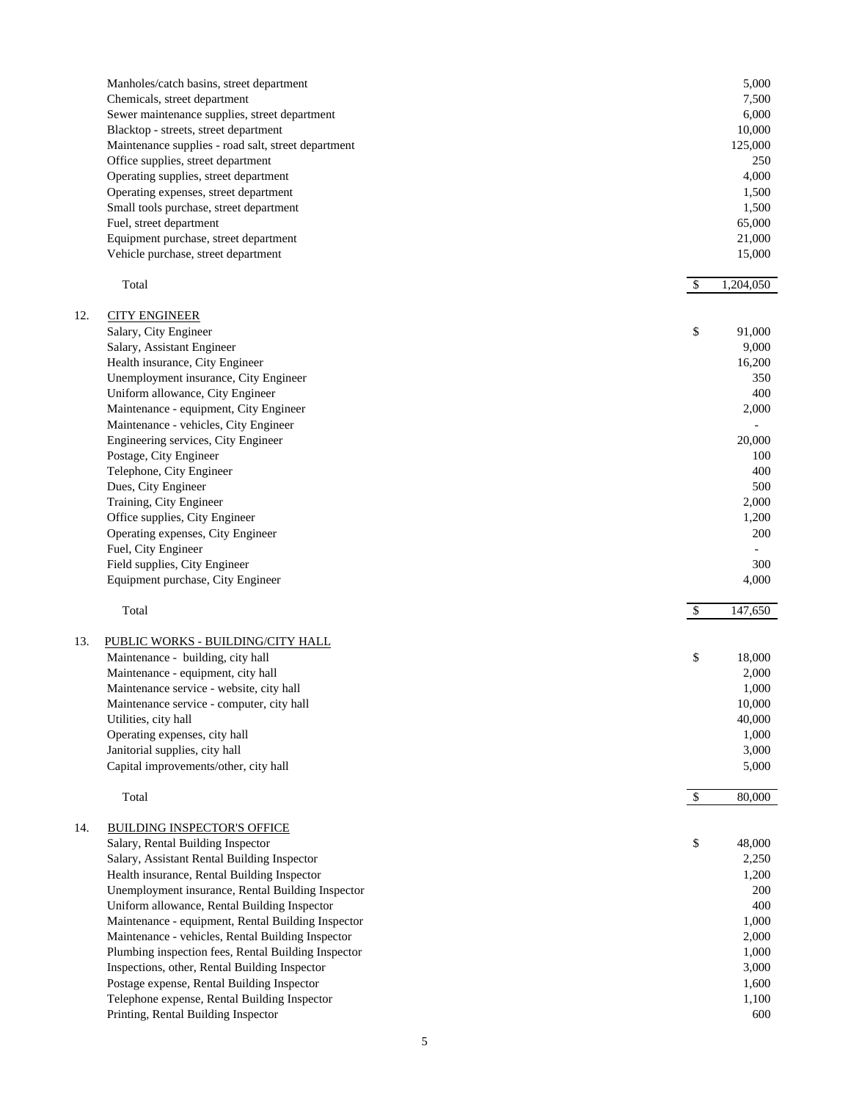|     | Manholes/catch basins, street department                                | 5,000                      |
|-----|-------------------------------------------------------------------------|----------------------------|
|     | Chemicals, street department                                            | 7,500                      |
|     | Sewer maintenance supplies, street department                           | 6,000                      |
|     | Blacktop - streets, street department                                   | 10,000                     |
|     | Maintenance supplies - road salt, street department                     | 125,000                    |
|     | Office supplies, street department                                      | 250                        |
|     |                                                                         |                            |
|     | Operating supplies, street department                                   | 4,000                      |
|     | Operating expenses, street department                                   | 1,500                      |
|     | Small tools purchase, street department                                 | 1,500                      |
|     | Fuel, street department                                                 | 65,000                     |
|     | Equipment purchase, street department                                   | 21,000                     |
|     | Vehicle purchase, street department                                     | 15,000                     |
|     |                                                                         |                            |
|     | Total                                                                   | $\mathcal{S}$<br>1,204,050 |
| 12. |                                                                         |                            |
|     | <b>CITY ENGINEER</b>                                                    |                            |
|     | Salary, City Engineer                                                   | \$<br>91,000               |
|     | Salary, Assistant Engineer                                              | 9,000                      |
|     | Health insurance, City Engineer                                         | 16,200                     |
|     | Unemployment insurance, City Engineer                                   | 350                        |
|     | Uniform allowance, City Engineer                                        | 400                        |
|     | Maintenance - equipment, City Engineer                                  | 2,000                      |
|     | Maintenance - vehicles, City Engineer                                   |                            |
|     | Engineering services, City Engineer                                     | 20,000                     |
|     |                                                                         |                            |
|     | Postage, City Engineer                                                  | 100                        |
|     | Telephone, City Engineer                                                | 400                        |
|     | Dues, City Engineer                                                     | 500                        |
|     | Training, City Engineer                                                 | 2,000                      |
|     | Office supplies, City Engineer                                          | 1,200                      |
|     | Operating expenses, City Engineer                                       | 200                        |
|     | Fuel, City Engineer                                                     |                            |
|     | Field supplies, City Engineer                                           | 300                        |
|     |                                                                         |                            |
|     |                                                                         |                            |
|     | Equipment purchase, City Engineer                                       | 4,000                      |
|     | Total                                                                   | $\mathcal{S}$              |
|     |                                                                         |                            |
| 13. | PUBLIC WORKS - BUILDING/CITY HALL                                       |                            |
|     | Maintenance - building, city hall                                       | \$<br>18,000               |
|     | Maintenance - equipment, city hall                                      | 2,000                      |
|     | Maintenance service - website, city hall                                | 1,000                      |
|     | Maintenance service - computer, city hall                               | 10,000                     |
|     |                                                                         | 40,000                     |
|     | Utilities, city hall                                                    |                            |
|     | Operating expenses, city hall                                           | 1,000                      |
|     | Janitorial supplies, city hall<br>Capital improvements/other, city hall | 3,000<br>5,000             |
|     |                                                                         |                            |
|     | Total                                                                   | $\mathcal{S}$<br>80,000    |
| 14. | <b>BUILDING INSPECTOR'S OFFICE</b>                                      |                            |
|     | Salary, Rental Building Inspector                                       | \$<br>48,000               |
|     | Salary, Assistant Rental Building Inspector                             | 2,250                      |
|     | Health insurance, Rental Building Inspector                             | 147,650                    |
|     |                                                                         | 1,200                      |
|     | Unemployment insurance, Rental Building Inspector                       | 200                        |
|     | Uniform allowance, Rental Building Inspector                            | 400                        |
|     | Maintenance - equipment, Rental Building Inspector                      | 1,000                      |
|     | Maintenance - vehicles, Rental Building Inspector                       | 2,000                      |
|     | Plumbing inspection fees, Rental Building Inspector                     | 1,000                      |
|     | Inspections, other, Rental Building Inspector                           | 3,000                      |
|     | Postage expense, Rental Building Inspector                              | 1,600                      |
|     | Telephone expense, Rental Building Inspector                            | 1,100                      |
|     | Printing, Rental Building Inspector                                     | 600                        |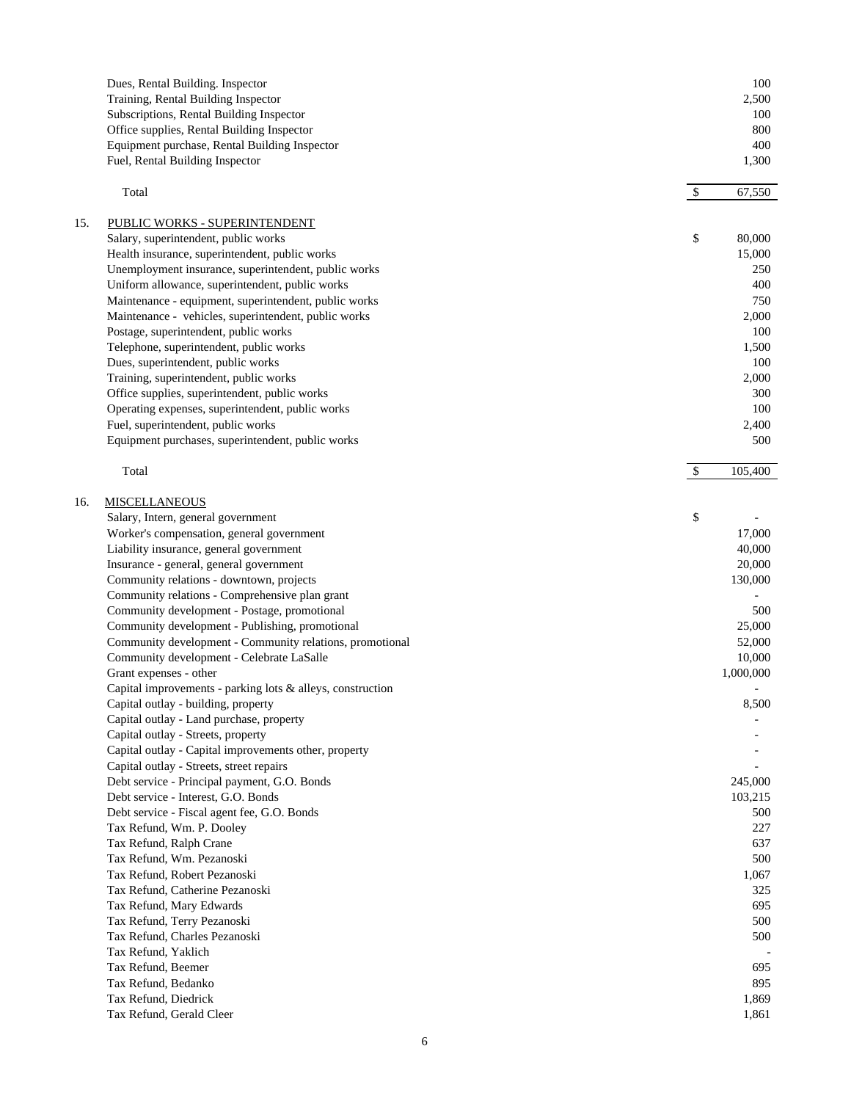|     | Dues, Rental Building. Inspector<br>Training, Rental Building Inspector<br>Subscriptions, Rental Building Inspector<br>Office supplies, Rental Building Inspector<br>Equipment purchase, Rental Building Inspector<br>Fuel, Rental Building Inspector |                           | 100<br>2,500<br>100<br>800<br>400<br>1,300 |
|-----|-------------------------------------------------------------------------------------------------------------------------------------------------------------------------------------------------------------------------------------------------------|---------------------------|--------------------------------------------|
|     | Total                                                                                                                                                                                                                                                 | $\mathcal{S}$             | 67,550                                     |
|     |                                                                                                                                                                                                                                                       |                           |                                            |
| 15. | PUBLIC WORKS - SUPERINTENDENT<br>Salary, superintendent, public works                                                                                                                                                                                 | \$                        | 80,000                                     |
|     | Health insurance, superintendent, public works                                                                                                                                                                                                        |                           | 15,000                                     |
|     | Unemployment insurance, superintendent, public works                                                                                                                                                                                                  |                           | 250                                        |
|     | Uniform allowance, superintendent, public works                                                                                                                                                                                                       |                           | 400                                        |
|     | Maintenance - equipment, superintendent, public works                                                                                                                                                                                                 |                           | 750                                        |
|     | Maintenance - vehicles, superintendent, public works                                                                                                                                                                                                  |                           | 2,000                                      |
|     | Postage, superintendent, public works                                                                                                                                                                                                                 |                           | 100                                        |
|     | Telephone, superintendent, public works                                                                                                                                                                                                               |                           | 1,500                                      |
|     | Dues, superintendent, public works                                                                                                                                                                                                                    |                           | 100                                        |
|     | Training, superintendent, public works                                                                                                                                                                                                                |                           | 2,000                                      |
|     | Office supplies, superintendent, public works                                                                                                                                                                                                         |                           | 300                                        |
|     | Operating expenses, superintendent, public works                                                                                                                                                                                                      |                           | 100                                        |
|     | Fuel, superintendent, public works                                                                                                                                                                                                                    |                           | 2,400                                      |
|     | Equipment purchases, superintendent, public works                                                                                                                                                                                                     |                           | 500                                        |
|     | Total                                                                                                                                                                                                                                                 | $\boldsymbol{\mathsf{S}}$ | 105,400                                    |
| 16. | <b>MISCELLANEOUS</b>                                                                                                                                                                                                                                  |                           |                                            |
|     | Salary, Intern, general government                                                                                                                                                                                                                    | \$                        |                                            |
|     | Worker's compensation, general government                                                                                                                                                                                                             |                           | 17,000                                     |
|     | Liability insurance, general government                                                                                                                                                                                                               |                           | 40,000                                     |
|     | Insurance - general, general government                                                                                                                                                                                                               |                           | 20,000                                     |
|     | Community relations - downtown, projects                                                                                                                                                                                                              |                           | 130,000                                    |
|     | Community relations - Comprehensive plan grant<br>Community development - Postage, promotional                                                                                                                                                        |                           |                                            |
|     | Community development - Publishing, promotional                                                                                                                                                                                                       |                           | 500<br>25,000                              |
|     | Community development - Community relations, promotional                                                                                                                                                                                              |                           | 52,000                                     |
|     | Community development - Celebrate LaSalle                                                                                                                                                                                                             |                           | 10,000                                     |
|     | Grant expenses - other                                                                                                                                                                                                                                |                           | 1,000,000                                  |
|     | Capital improvements - parking lots & alleys, construction                                                                                                                                                                                            |                           |                                            |
|     | Capital outlay - building, property                                                                                                                                                                                                                   |                           | 8,500                                      |
|     | Capital outlay - Land purchase, property                                                                                                                                                                                                              |                           |                                            |
|     | Capital outlay - Streets, property                                                                                                                                                                                                                    |                           |                                            |
|     | Capital outlay - Capital improvements other, property                                                                                                                                                                                                 |                           |                                            |
|     | Capital outlay - Streets, street repairs                                                                                                                                                                                                              |                           |                                            |
|     | Debt service - Principal payment, G.O. Bonds                                                                                                                                                                                                          |                           | 245,000                                    |
|     | Debt service - Interest, G.O. Bonds<br>Debt service - Fiscal agent fee, G.O. Bonds                                                                                                                                                                    |                           | 103,215<br>500                             |
|     | Tax Refund, Wm. P. Dooley                                                                                                                                                                                                                             |                           | 227                                        |
|     | Tax Refund, Ralph Crane                                                                                                                                                                                                                               |                           | 637                                        |
|     | Tax Refund, Wm. Pezanoski                                                                                                                                                                                                                             |                           | 500                                        |
|     | Tax Refund, Robert Pezanoski                                                                                                                                                                                                                          |                           | 1,067                                      |
|     | Tax Refund, Catherine Pezanoski                                                                                                                                                                                                                       |                           | 325                                        |
|     | Tax Refund, Mary Edwards                                                                                                                                                                                                                              |                           | 695                                        |
|     | Tax Refund, Terry Pezanoski                                                                                                                                                                                                                           |                           | 500                                        |
|     | Tax Refund, Charles Pezanoski                                                                                                                                                                                                                         |                           | 500                                        |
|     | Tax Refund, Yaklich                                                                                                                                                                                                                                   |                           |                                            |
|     | Tax Refund, Beemer                                                                                                                                                                                                                                    |                           | 695                                        |
|     | Tax Refund, Bedanko                                                                                                                                                                                                                                   |                           | 895                                        |
|     | Tax Refund, Diedrick                                                                                                                                                                                                                                  |                           | 1,869                                      |
|     | Tax Refund, Gerald Cleer                                                                                                                                                                                                                              |                           | 1,861                                      |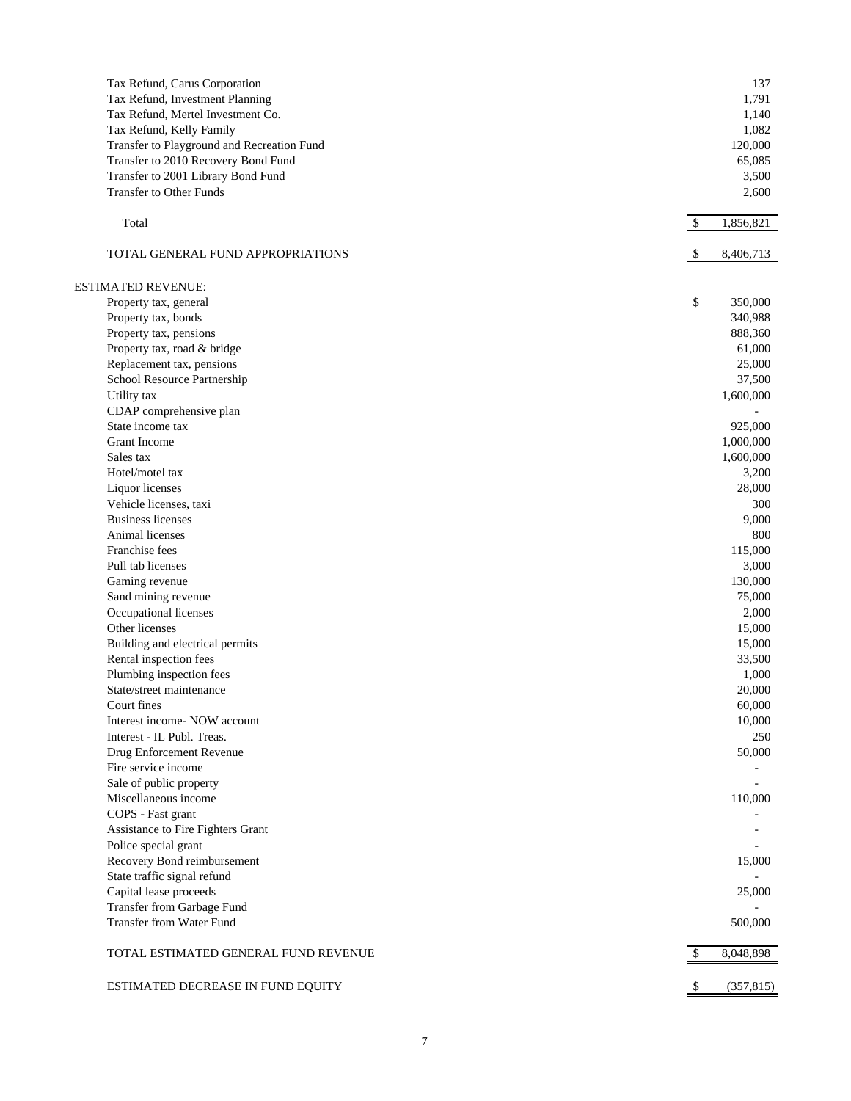| Tax Refund, Carus Corporation<br>Tax Refund, Investment Planning<br>Tax Refund, Mertel Investment Co.<br>Tax Refund, Kelly Family<br>Transfer to Playground and Recreation Fund<br>Transfer to 2010 Recovery Bond Fund<br>Transfer to 2001 Library Bond Fund | 137<br>1,791<br>1,140<br>1,082<br>120,000<br>65,085<br>3,500 |
|--------------------------------------------------------------------------------------------------------------------------------------------------------------------------------------------------------------------------------------------------------------|--------------------------------------------------------------|
| <b>Transfer to Other Funds</b>                                                                                                                                                                                                                               | 2,600                                                        |
| Total                                                                                                                                                                                                                                                        | 1,856,821<br>\$                                              |
| TOTAL GENERAL FUND APPROPRIATIONS                                                                                                                                                                                                                            | 8,406,713                                                    |
| <b>ESTIMATED REVENUE:</b>                                                                                                                                                                                                                                    |                                                              |
| Property tax, general                                                                                                                                                                                                                                        | \$<br>350,000                                                |
| Property tax, bonds                                                                                                                                                                                                                                          | 340,988                                                      |
| Property tax, pensions                                                                                                                                                                                                                                       | 888,360                                                      |
| Property tax, road & bridge                                                                                                                                                                                                                                  | 61,000                                                       |
| Replacement tax, pensions                                                                                                                                                                                                                                    | 25,000                                                       |
| School Resource Partnership                                                                                                                                                                                                                                  | 37,500                                                       |
| Utility tax                                                                                                                                                                                                                                                  | 1,600,000                                                    |
| CDAP comprehensive plan                                                                                                                                                                                                                                      |                                                              |
| State income tax                                                                                                                                                                                                                                             | 925,000                                                      |
| <b>Grant Income</b>                                                                                                                                                                                                                                          | 1,000,000                                                    |
| Sales tax                                                                                                                                                                                                                                                    | 1,600,000                                                    |
| Hotel/motel tax                                                                                                                                                                                                                                              |                                                              |
|                                                                                                                                                                                                                                                              | 3,200                                                        |
| Liquor licenses                                                                                                                                                                                                                                              | 28,000                                                       |
| Vehicle licenses, taxi                                                                                                                                                                                                                                       | 300                                                          |
| <b>Business licenses</b>                                                                                                                                                                                                                                     | 9,000                                                        |
| Animal licenses                                                                                                                                                                                                                                              | 800                                                          |
| Franchise fees                                                                                                                                                                                                                                               | 115,000                                                      |
| Pull tab licenses                                                                                                                                                                                                                                            | 3,000                                                        |
| Gaming revenue                                                                                                                                                                                                                                               | 130,000                                                      |
| Sand mining revenue                                                                                                                                                                                                                                          | 75,000                                                       |
| Occupational licenses                                                                                                                                                                                                                                        | 2,000                                                        |
| Other licenses                                                                                                                                                                                                                                               | 15,000                                                       |
| Building and electrical permits                                                                                                                                                                                                                              | 15,000                                                       |
| Rental inspection fees                                                                                                                                                                                                                                       | 33,500                                                       |
| Plumbing inspection fees                                                                                                                                                                                                                                     | 1,000                                                        |
| State/street maintenance                                                                                                                                                                                                                                     | 20,000                                                       |
| Court fines                                                                                                                                                                                                                                                  | 60,000                                                       |
| Interest income- NOW account                                                                                                                                                                                                                                 | 10,000                                                       |
| Interest - IL Publ. Treas.                                                                                                                                                                                                                                   | 250                                                          |
| Drug Enforcement Revenue                                                                                                                                                                                                                                     | 50,000                                                       |
| Fire service income                                                                                                                                                                                                                                          |                                                              |
| Sale of public property                                                                                                                                                                                                                                      |                                                              |
| Miscellaneous income                                                                                                                                                                                                                                         | 110,000                                                      |
| COPS - Fast grant                                                                                                                                                                                                                                            |                                                              |
| Assistance to Fire Fighters Grant                                                                                                                                                                                                                            |                                                              |
| Police special grant                                                                                                                                                                                                                                         |                                                              |
| Recovery Bond reimbursement                                                                                                                                                                                                                                  | 15,000                                                       |
| State traffic signal refund                                                                                                                                                                                                                                  |                                                              |
| Capital lease proceeds                                                                                                                                                                                                                                       | 25,000                                                       |
| Transfer from Garbage Fund                                                                                                                                                                                                                                   |                                                              |
| Transfer from Water Fund                                                                                                                                                                                                                                     | 500,000                                                      |
| TOTAL ESTIMATED GENERAL FUND REVENUE                                                                                                                                                                                                                         | \$<br>8,048,898                                              |
|                                                                                                                                                                                                                                                              |                                                              |
| ESTIMATED DECREASE IN FUND EQUITY                                                                                                                                                                                                                            | \$<br>(357, 815)                                             |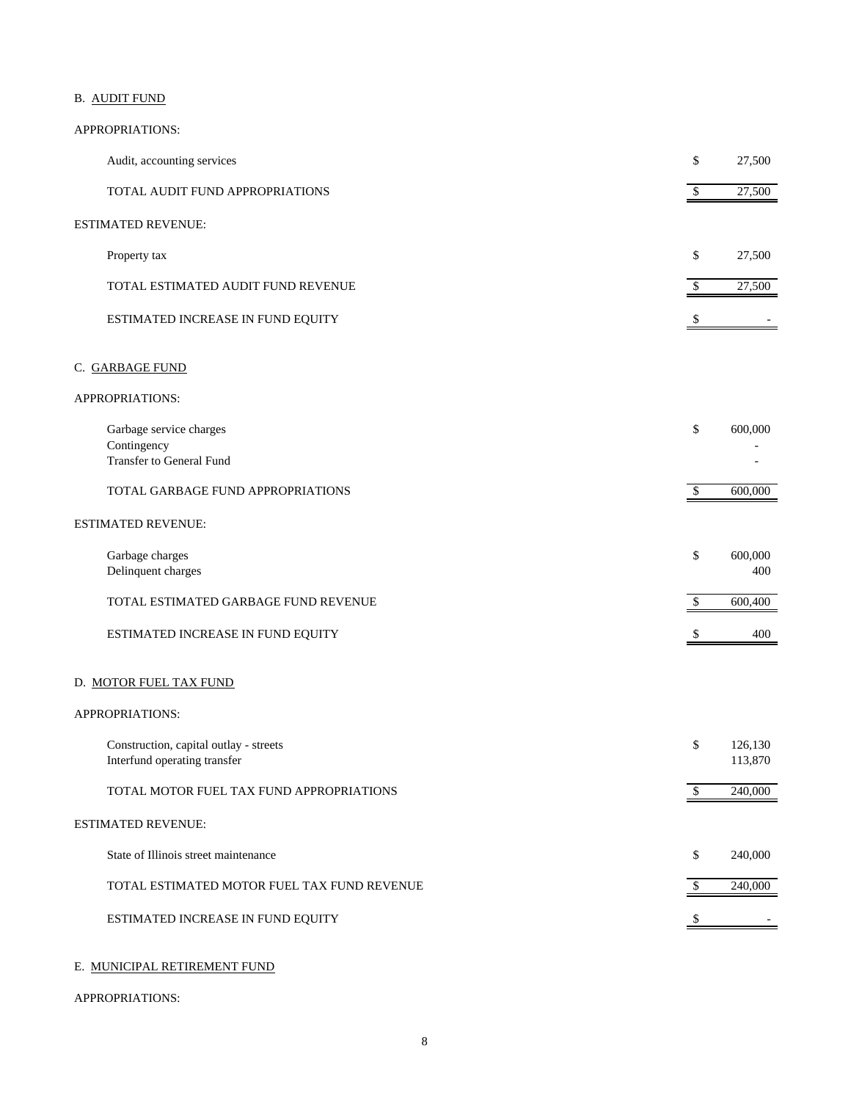## B. AUDIT FUND

### APPROPRIATIONS:

| Audit, accounting services                                                | \$           | 27,500             |
|---------------------------------------------------------------------------|--------------|--------------------|
| TOTAL AUDIT FUND APPROPRIATIONS                                           | $\sqrt{2}$   | 27,500             |
| <b>ESTIMATED REVENUE:</b>                                                 |              |                    |
| Property tax                                                              | \$           | 27,500             |
| TOTAL ESTIMATED AUDIT FUND REVENUE                                        | \$           | 27,500             |
| ESTIMATED INCREASE IN FUND EQUITY                                         | \$           |                    |
| C. GARBAGE FUND                                                           |              |                    |
| APPROPRIATIONS:                                                           |              |                    |
| Garbage service charges<br>Contingency<br><b>Transfer to General Fund</b> | \$           | 600,000            |
| TOTAL GARBAGE FUND APPROPRIATIONS                                         | $\sqrt{3}$   | 600,000            |
| <b>ESTIMATED REVENUE:</b>                                                 |              |                    |
| Garbage charges<br>Delinquent charges                                     | \$           | 600,000<br>400     |
| TOTAL ESTIMATED GARBAGE FUND REVENUE                                      | \$           | 600,400            |
| ESTIMATED INCREASE IN FUND EQUITY                                         |              | 400                |
| D. MOTOR FUEL TAX FUND                                                    |              |                    |
| APPROPRIATIONS:                                                           |              |                    |
| Construction, capital outlay - streets<br>Interfund operating transfer    | \$           | 126,130<br>113,870 |
| TOTAL MOTOR FUEL TAX FUND APPROPRIATIONS                                  | \$           | 240,000            |
| <b>ESTIMATED REVENUE:</b>                                                 |              |                    |
| State of Illinois street maintenance                                      | \$           | 240,000            |
| TOTAL ESTIMATED MOTOR FUEL TAX FUND REVENUE                               | $\mathbb{S}$ | 240,000            |
| ESTIMATED INCREASE IN FUND EQUITY                                         | S            |                    |
|                                                                           |              |                    |

## E. MUNICIPAL RETIREMENT FUND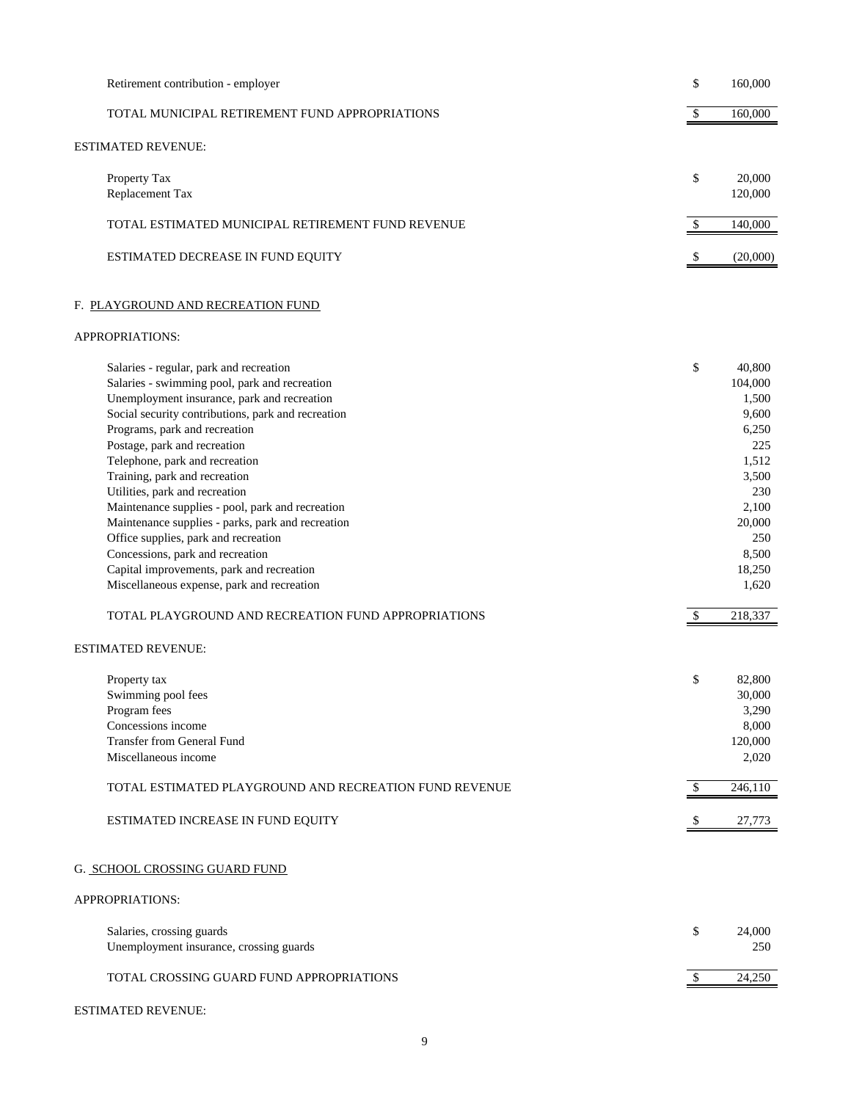| Retirement contribution - employer                                                                                                                                                                                                                                                                                                                                                                                                                                                                                                                                                                                                                                                                         | \$            | 160,000                                                                                                                                       |
|------------------------------------------------------------------------------------------------------------------------------------------------------------------------------------------------------------------------------------------------------------------------------------------------------------------------------------------------------------------------------------------------------------------------------------------------------------------------------------------------------------------------------------------------------------------------------------------------------------------------------------------------------------------------------------------------------------|---------------|-----------------------------------------------------------------------------------------------------------------------------------------------|
| TOTAL MUNICIPAL RETIREMENT FUND APPROPRIATIONS                                                                                                                                                                                                                                                                                                                                                                                                                                                                                                                                                                                                                                                             | \$            | 160,000                                                                                                                                       |
| ESTIMATED REVENUE:                                                                                                                                                                                                                                                                                                                                                                                                                                                                                                                                                                                                                                                                                         |               |                                                                                                                                               |
| Property Tax<br>Replacement Tax                                                                                                                                                                                                                                                                                                                                                                                                                                                                                                                                                                                                                                                                            | \$            | 20,000<br>120,000                                                                                                                             |
| TOTAL ESTIMATED MUNICIPAL RETIREMENT FUND REVENUE                                                                                                                                                                                                                                                                                                                                                                                                                                                                                                                                                                                                                                                          | \$            | 140,000                                                                                                                                       |
| ESTIMATED DECREASE IN FUND EQUITY                                                                                                                                                                                                                                                                                                                                                                                                                                                                                                                                                                                                                                                                          |               | (20,000)                                                                                                                                      |
| F. PLAYGROUND AND RECREATION FUND                                                                                                                                                                                                                                                                                                                                                                                                                                                                                                                                                                                                                                                                          |               |                                                                                                                                               |
| APPROPRIATIONS:                                                                                                                                                                                                                                                                                                                                                                                                                                                                                                                                                                                                                                                                                            |               |                                                                                                                                               |
| Salaries - regular, park and recreation<br>Salaries - swimming pool, park and recreation<br>Unemployment insurance, park and recreation<br>Social security contributions, park and recreation<br>Programs, park and recreation<br>Postage, park and recreation<br>Telephone, park and recreation<br>Training, park and recreation<br>Utilities, park and recreation<br>Maintenance supplies - pool, park and recreation<br>Maintenance supplies - parks, park and recreation<br>Office supplies, park and recreation<br>Concessions, park and recreation<br>Capital improvements, park and recreation<br>Miscellaneous expense, park and recreation<br>TOTAL PLAYGROUND AND RECREATION FUND APPROPRIATIONS | \$<br>-S      | 40.800<br>104,000<br>1,500<br>9,600<br>6,250<br>225<br>1,512<br>3,500<br>230<br>2,100<br>20,000<br>250<br>8,500<br>18,250<br>1,620<br>218,337 |
| <b>ESTIMATED REVENUE:</b>                                                                                                                                                                                                                                                                                                                                                                                                                                                                                                                                                                                                                                                                                  |               |                                                                                                                                               |
| Property tax<br>Swimming pool fees<br>Program fees<br>Concessions income<br><b>Transfer from General Fund</b><br>Miscellaneous income                                                                                                                                                                                                                                                                                                                                                                                                                                                                                                                                                                      | \$            | 82,800<br>30,000<br>3,290<br>8,000<br>120,000<br>2,020                                                                                        |
| TOTAL ESTIMATED PLAYGROUND AND RECREATION FUND REVENUE                                                                                                                                                                                                                                                                                                                                                                                                                                                                                                                                                                                                                                                     | $\mathcal{S}$ | 246,110                                                                                                                                       |
| ESTIMATED INCREASE IN FUND EQUITY                                                                                                                                                                                                                                                                                                                                                                                                                                                                                                                                                                                                                                                                          | \$            | 27,773                                                                                                                                        |
| G. SCHOOL CROSSING GUARD FUND                                                                                                                                                                                                                                                                                                                                                                                                                                                                                                                                                                                                                                                                              |               |                                                                                                                                               |
| APPROPRIATIONS:                                                                                                                                                                                                                                                                                                                                                                                                                                                                                                                                                                                                                                                                                            |               |                                                                                                                                               |
| Salaries, crossing guards<br>Unemployment insurance, crossing guards                                                                                                                                                                                                                                                                                                                                                                                                                                                                                                                                                                                                                                       | \$            | 24,000<br>250                                                                                                                                 |
| TOTAL CROSSING GUARD FUND APPROPRIATIONS                                                                                                                                                                                                                                                                                                                                                                                                                                                                                                                                                                                                                                                                   |               | 24,250                                                                                                                                        |
|                                                                                                                                                                                                                                                                                                                                                                                                                                                                                                                                                                                                                                                                                                            |               |                                                                                                                                               |

### ESTIMATED REVENUE: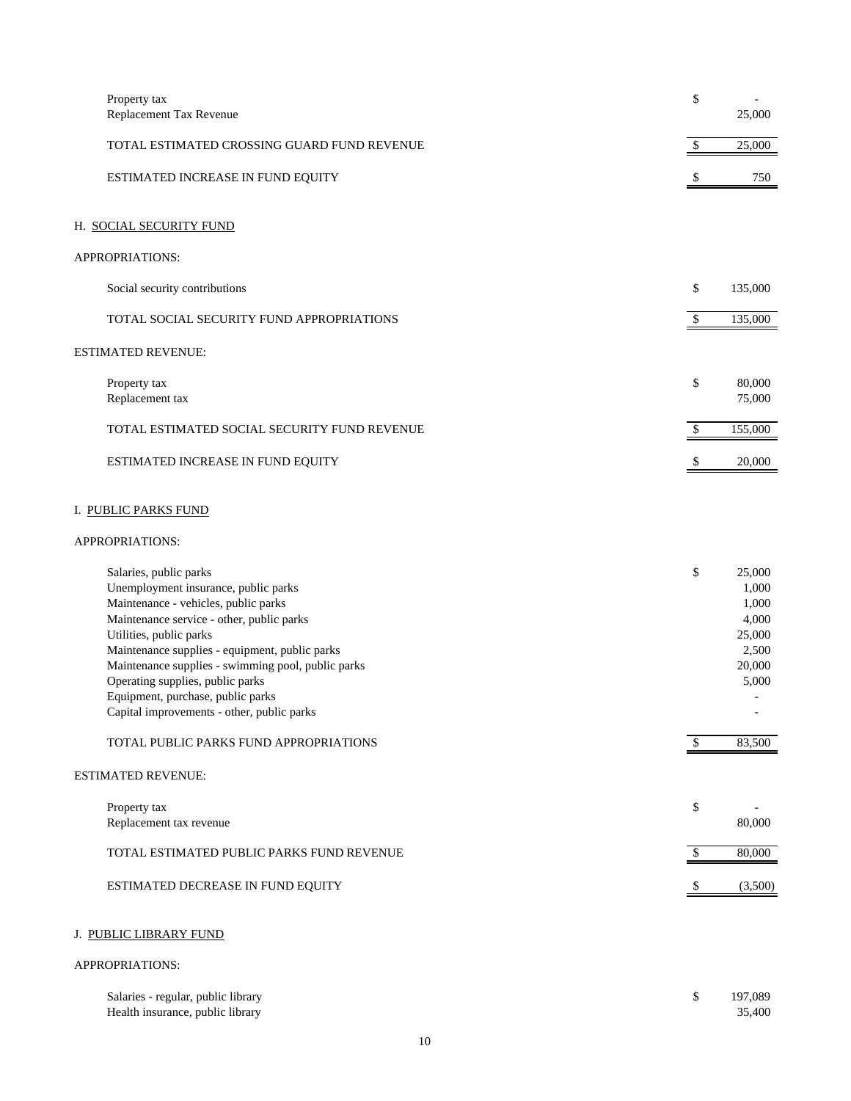| Property tax<br>Replacement Tax Revenue                                                                                                                                                                                                                                                                                                                                                                                                                 | \$       | ÷,<br>25,000                                                                      |
|---------------------------------------------------------------------------------------------------------------------------------------------------------------------------------------------------------------------------------------------------------------------------------------------------------------------------------------------------------------------------------------------------------------------------------------------------------|----------|-----------------------------------------------------------------------------------|
| TOTAL ESTIMATED CROSSING GUARD FUND REVENUE                                                                                                                                                                                                                                                                                                                                                                                                             | \$       | 25,000                                                                            |
| ESTIMATED INCREASE IN FUND EQUITY                                                                                                                                                                                                                                                                                                                                                                                                                       |          | 750                                                                               |
| H. SOCIAL SECURITY FUND                                                                                                                                                                                                                                                                                                                                                                                                                                 |          |                                                                                   |
| APPROPRIATIONS:                                                                                                                                                                                                                                                                                                                                                                                                                                         |          |                                                                                   |
| Social security contributions                                                                                                                                                                                                                                                                                                                                                                                                                           | \$       | 135,000                                                                           |
| TOTAL SOCIAL SECURITY FUND APPROPRIATIONS                                                                                                                                                                                                                                                                                                                                                                                                               | \$       | 135,000                                                                           |
| <b>ESTIMATED REVENUE:</b>                                                                                                                                                                                                                                                                                                                                                                                                                               |          |                                                                                   |
| Property tax<br>Replacement tax                                                                                                                                                                                                                                                                                                                                                                                                                         | \$       | 80,000<br>75,000                                                                  |
| TOTAL ESTIMATED SOCIAL SECURITY FUND REVENUE                                                                                                                                                                                                                                                                                                                                                                                                            | \$       | 155,000                                                                           |
| ESTIMATED INCREASE IN FUND EQUITY                                                                                                                                                                                                                                                                                                                                                                                                                       | \$       | 20,000                                                                            |
| I. PUBLIC PARKS FUND<br>APPROPRIATIONS:                                                                                                                                                                                                                                                                                                                                                                                                                 |          |                                                                                   |
| Salaries, public parks<br>Unemployment insurance, public parks<br>Maintenance - vehicles, public parks<br>Maintenance service - other, public parks<br>Utilities, public parks<br>Maintenance supplies - equipment, public parks<br>Maintenance supplies - swimming pool, public parks<br>Operating supplies, public parks<br>Equipment, purchase, public parks<br>Capital improvements - other, public parks<br>TOTAL PUBLIC PARKS FUND APPROPRIATIONS | \$<br>\$ | 25,000<br>1,000<br>1,000<br>4,000<br>25,000<br>2,500<br>20,000<br>5,000<br>83,500 |
| <b>ESTIMATED REVENUE:</b>                                                                                                                                                                                                                                                                                                                                                                                                                               |          |                                                                                   |
| Property tax<br>Replacement tax revenue                                                                                                                                                                                                                                                                                                                                                                                                                 | \$       | 80,000                                                                            |
| TOTAL ESTIMATED PUBLIC PARKS FUND REVENUE                                                                                                                                                                                                                                                                                                                                                                                                               | \$       | 80,000                                                                            |
| ESTIMATED DECREASE IN FUND EQUITY                                                                                                                                                                                                                                                                                                                                                                                                                       | -S       | (3,500)                                                                           |
| J. PUBLIC LIBRARY FUND                                                                                                                                                                                                                                                                                                                                                                                                                                  |          |                                                                                   |

| Salaries - regular, public library | 197.089 |
|------------------------------------|---------|
| Health insurance, public library   | 35.400  |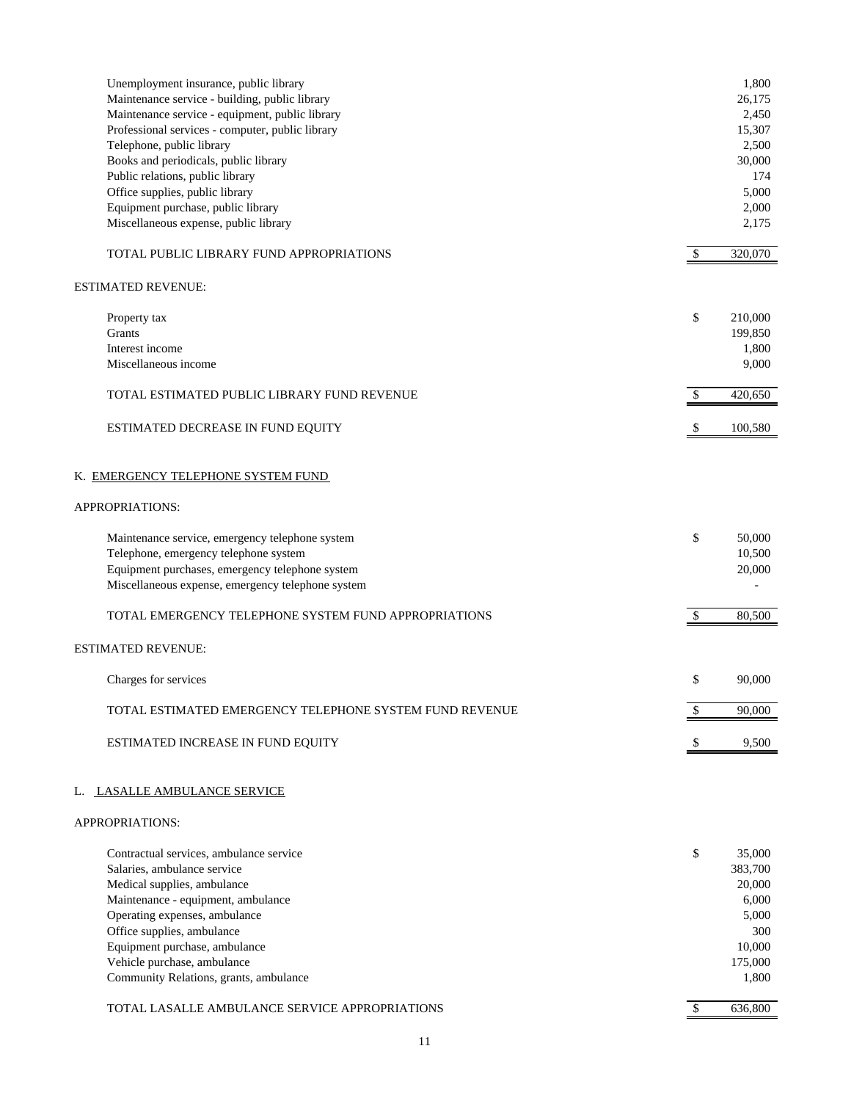| Unemployment insurance, public library<br>Maintenance service - building, public library<br>Maintenance service - equipment, public library<br>Professional services - computer, public library<br>Telephone, public library<br>Books and periodicals, public library<br>Public relations, public library<br>Office supplies, public library<br>Equipment purchase, public library<br>Miscellaneous expense, public library |               | 1,800<br>26,175<br>2,450<br>15,307<br>2,500<br>30,000<br>174<br>5,000<br>2,000<br>2,175 |
|-----------------------------------------------------------------------------------------------------------------------------------------------------------------------------------------------------------------------------------------------------------------------------------------------------------------------------------------------------------------------------------------------------------------------------|---------------|-----------------------------------------------------------------------------------------|
| TOTAL PUBLIC LIBRARY FUND APPROPRIATIONS                                                                                                                                                                                                                                                                                                                                                                                    | $\mathcal{S}$ | 320,070                                                                                 |
| ESTIMATED REVENUE:                                                                                                                                                                                                                                                                                                                                                                                                          |               |                                                                                         |
| Property tax<br>Grants<br>Interest income<br>Miscellaneous income                                                                                                                                                                                                                                                                                                                                                           | \$            | 210,000<br>199,850<br>1,800<br>9,000                                                    |
| TOTAL ESTIMATED PUBLIC LIBRARY FUND REVENUE                                                                                                                                                                                                                                                                                                                                                                                 | <sup>\$</sup> | 420,650                                                                                 |
| ESTIMATED DECREASE IN FUND EQUITY                                                                                                                                                                                                                                                                                                                                                                                           |               | 100,580                                                                                 |
| K. EMERGENCY TELEPHONE SYSTEM FUND                                                                                                                                                                                                                                                                                                                                                                                          |               |                                                                                         |
| APPROPRIATIONS:                                                                                                                                                                                                                                                                                                                                                                                                             |               |                                                                                         |
| Maintenance service, emergency telephone system<br>Telephone, emergency telephone system<br>Equipment purchases, emergency telephone system<br>Miscellaneous expense, emergency telephone system                                                                                                                                                                                                                            | \$            | 50,000<br>10,500<br>20,000                                                              |
| TOTAL EMERGENCY TELEPHONE SYSTEM FUND APPROPRIATIONS                                                                                                                                                                                                                                                                                                                                                                        | $\mathcal{S}$ | 80,500                                                                                  |
| <b>ESTIMATED REVENUE:</b>                                                                                                                                                                                                                                                                                                                                                                                                   |               |                                                                                         |
| Charges for services                                                                                                                                                                                                                                                                                                                                                                                                        | \$            | 90.000                                                                                  |
| TOTAL ESTIMATED EMERGENCY TELEPHONE SYSTEM FUND REVENUE                                                                                                                                                                                                                                                                                                                                                                     | \$            | 90,000                                                                                  |
| ESTIMATED INCREASE IN FUND EQUITY                                                                                                                                                                                                                                                                                                                                                                                           | \$            | 9,500                                                                                   |
| <b>LASALLE AMBULANCE SERVICE</b><br>L.                                                                                                                                                                                                                                                                                                                                                                                      |               |                                                                                         |
| APPROPRIATIONS:                                                                                                                                                                                                                                                                                                                                                                                                             |               |                                                                                         |
| Contractual services, ambulance service<br>Salaries, ambulance service<br>Medical supplies, ambulance<br>Maintenance - equipment, ambulance<br>Operating expenses, ambulance<br>Office supplies, ambulance<br>Equipment purchase, ambulance<br>Vehicle purchase, ambulance<br>Community Relations, grants, ambulance                                                                                                        | \$            | 35,000<br>383,700<br>20,000<br>6,000<br>5,000<br>300<br>10,000<br>175,000<br>1,800      |
| TOTAL LASALLE AMBULANCE SERVICE APPROPRIATIONS                                                                                                                                                                                                                                                                                                                                                                              | $\sqrt{3}$    | 636,800                                                                                 |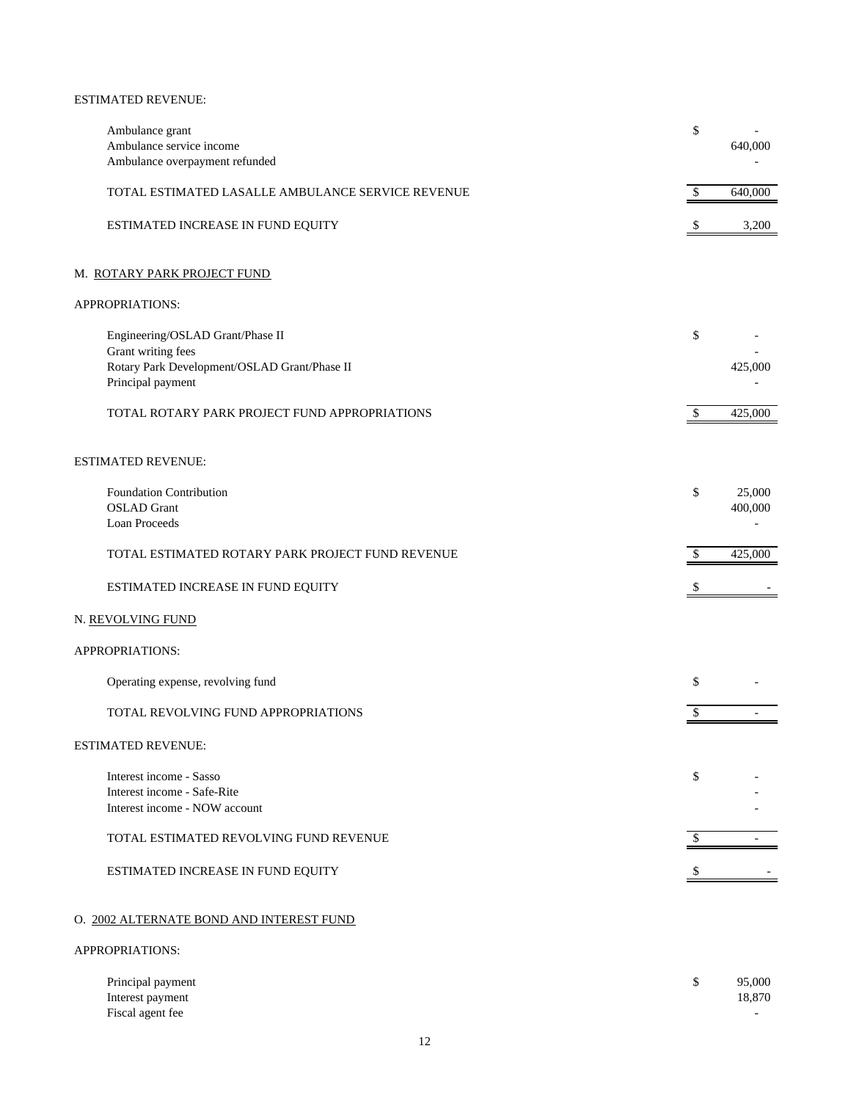#### ESTIMATED REVENUE:

| Ambulance grant                                                   | \$                      |         |
|-------------------------------------------------------------------|-------------------------|---------|
| Ambulance service income<br>Ambulance overpayment refunded        |                         | 640,000 |
| TOTAL ESTIMATED LASALLE AMBULANCE SERVICE REVENUE                 | $\sqrt[6]{\frac{1}{2}}$ | 640,000 |
|                                                                   |                         |         |
| ESTIMATED INCREASE IN FUND EQUITY                                 | \$                      | 3,200   |
| M. ROTARY PARK PROJECT FUND                                       |                         |         |
| APPROPRIATIONS:                                                   |                         |         |
| Engineering/OSLAD Grant/Phase II                                  | \$                      |         |
| Grant writing fees                                                |                         |         |
| Rotary Park Development/OSLAD Grant/Phase II<br>Principal payment |                         | 425,000 |
|                                                                   |                         |         |
| TOTAL ROTARY PARK PROJECT FUND APPROPRIATIONS                     | $\mathcal{S}$           | 425,000 |
| <b>ESTIMATED REVENUE:</b>                                         |                         |         |
| Foundation Contribution                                           | \$                      | 25,000  |
| <b>OSLAD</b> Grant                                                |                         | 400,000 |
| <b>Loan Proceeds</b>                                              |                         |         |
| TOTAL ESTIMATED ROTARY PARK PROJECT FUND REVENUE                  | <sup>\$</sup>           | 425,000 |
| ESTIMATED INCREASE IN FUND EQUITY                                 |                         |         |
| N. <u>REVOLVING FUND</u>                                          |                         |         |
| APPROPRIATIONS:                                                   |                         |         |
| Operating expense, revolving fund                                 | \$                      |         |
| TOTAL REVOLVING FUND APPROPRIATIONS                               | S                       |         |
| <b>ESTIMATED REVENUE:</b>                                         |                         |         |
| Interest income - Sasso                                           | \$                      |         |
| Interest income - Safe-Rite                                       |                         |         |
| Interest income - NOW account                                     |                         |         |
| TOTAL ESTIMATED REVOLVING FUND REVENUE                            |                         |         |
| ESTIMATED INCREASE IN FUND EQUITY                                 |                         |         |
| O. 2002 ALTERNATE BOND AND INTEREST FUND                          |                         |         |
| APPROPRIATIONS:                                                   |                         |         |
|                                                                   |                         |         |

| Principal payment | 95,000 |
|-------------------|--------|
| Interest payment  | 18.870 |
| Fiscal agent fee  | -      |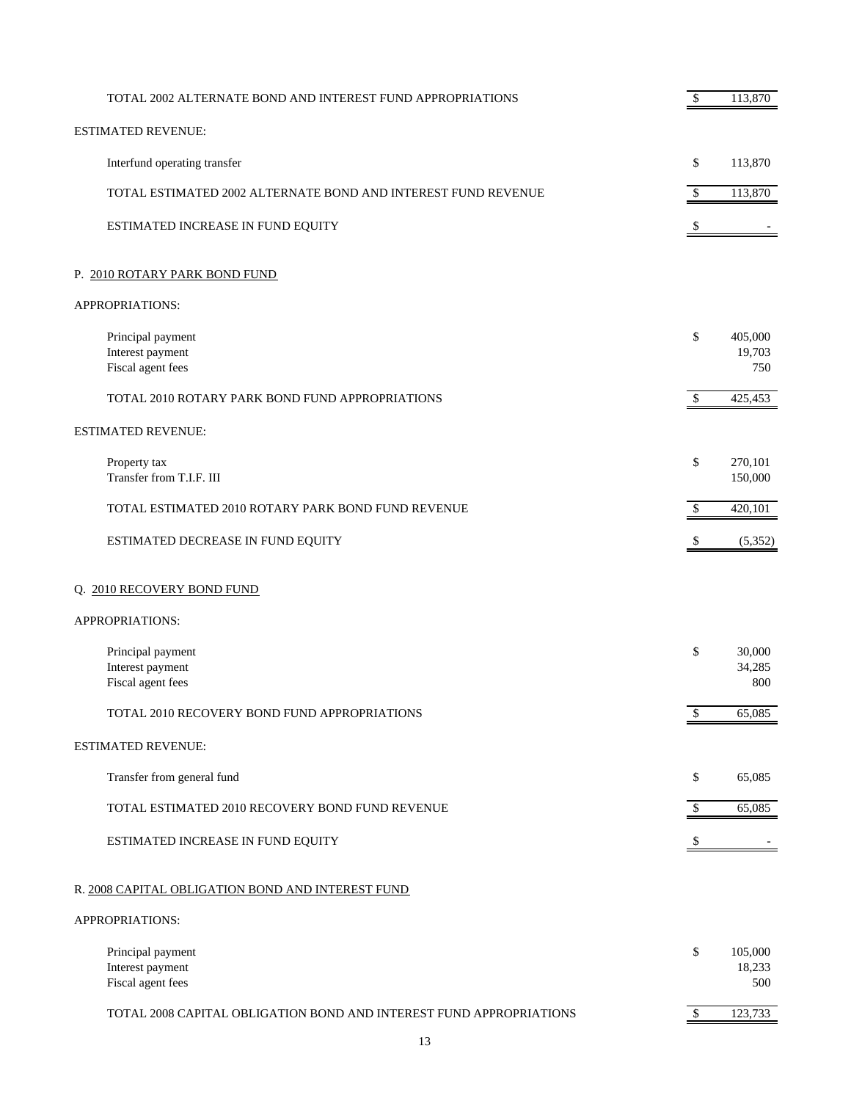| TOTAL 2002 ALTERNATE BOND AND INTEREST FUND APPROPRIATIONS          | \$                        | 113,870                  |
|---------------------------------------------------------------------|---------------------------|--------------------------|
| <b>ESTIMATED REVENUE:</b>                                           |                           |                          |
| Interfund operating transfer                                        | \$                        | 113,870                  |
| TOTAL ESTIMATED 2002 ALTERNATE BOND AND INTEREST FUND REVENUE       | $\mathbb{S}$              | 113,870                  |
| ESTIMATED INCREASE IN FUND EQUITY                                   | $\boldsymbol{\mathsf{S}}$ |                          |
| P. 2010 ROTARY PARK BOND FUND                                       |                           |                          |
| APPROPRIATIONS:                                                     |                           |                          |
| Principal payment<br>Interest payment<br>Fiscal agent fees          | \$                        | 405,000<br>19,703<br>750 |
| TOTAL 2010 ROTARY PARK BOND FUND APPROPRIATIONS                     | $\mathbb{S}$              | 425,453                  |
| <b>ESTIMATED REVENUE:</b>                                           |                           |                          |
| Property tax<br>Transfer from T.I.F. III                            | \$                        | 270,101<br>150,000       |
| TOTAL ESTIMATED 2010 ROTARY PARK BOND FUND REVENUE                  | \$                        | 420,101                  |
| ESTIMATED DECREASE IN FUND EQUITY                                   | \$                        | (5,352)                  |
| Q. 2010 RECOVERY BOND FUND                                          |                           |                          |
| APPROPRIATIONS:                                                     |                           |                          |
| Principal payment<br>Interest payment<br>Fiscal agent fees          | \$                        | 30,000<br>34,285<br>800  |
| TOTAL 2010 RECOVERY BOND FUND APPROPRIATIONS                        | \$                        | 65,085                   |
| <b>ESTIMATED REVENUE:</b>                                           |                           |                          |
| Transfer from general fund                                          | \$                        | 65,085                   |
| TOTAL ESTIMATED 2010 RECOVERY BOND FUND REVENUE                     | \$                        | 65,085                   |
| ESTIMATED INCREASE IN FUND EQUITY                                   | \$                        |                          |
| R. 2008 CAPITAL OBLIGATION BOND AND INTEREST FUND                   |                           |                          |
| APPROPRIATIONS:                                                     |                           |                          |
| Principal payment<br>Interest payment<br>Fiscal agent fees          | \$                        | 105,000<br>18,233<br>500 |
| TOTAL 2008 CAPITAL OBLIGATION BOND AND INTEREST FUND APPROPRIATIONS | $\mathbb{S}$              | 123,733                  |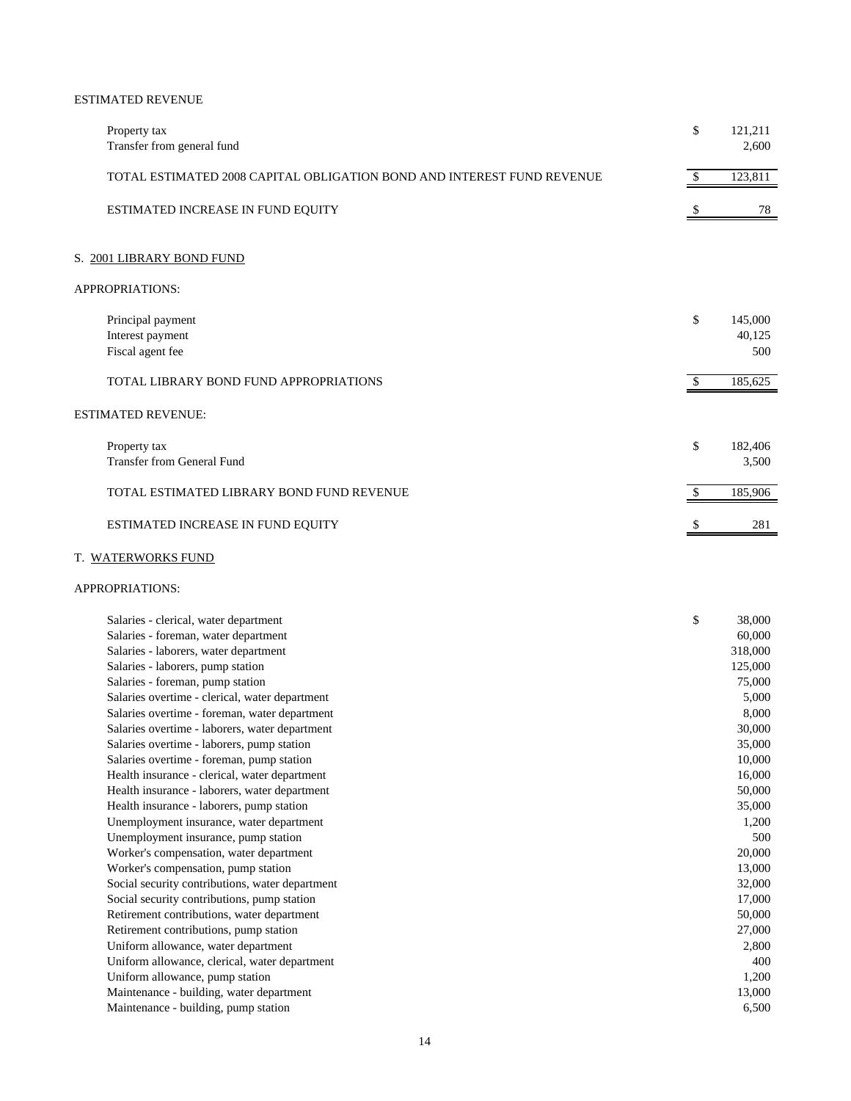#### ESTIMATED REVENUE

| Property tax<br>Transfer from general fund                             | \$            | 121,211<br>2,600         |
|------------------------------------------------------------------------|---------------|--------------------------|
| TOTAL ESTIMATED 2008 CAPITAL OBLIGATION BOND AND INTEREST FUND REVENUE | $\mathcal{S}$ | 123,811                  |
| ESTIMATED INCREASE IN FUND EQUITY                                      | \$            | 78                       |
| S. 2001 LIBRARY BOND FUND                                              |               |                          |
| APPROPRIATIONS:                                                        |               |                          |
| Principal payment<br>Interest payment<br>Fiscal agent fee              | \$            | 145,000<br>40,125<br>500 |
| <b>TOTAL LIBRARY BOND FUND APPROPRIATIONS</b>                          | -S            | 185,625                  |
| <b>ESTIMATED REVENUE:</b>                                              |               |                          |
| Property tax<br><b>Transfer from General Fund</b>                      | \$            | 182,406<br>3,500         |
| TOTAL ESTIMATED LIBRARY BOND FUND REVENUE                              |               | 185,906                  |
| ESTIMATED INCREASE IN FUND EQUITY                                      |               | 281                      |

## T. WATERWORKS FUND

| Salaries - clerical, water department           | \$<br>38,000 |
|-------------------------------------------------|--------------|
| Salaries - foreman, water department            | 60,000       |
| Salaries - laborers, water department           | 318,000      |
| Salaries - laborers, pump station               | 125,000      |
| Salaries - foreman, pump station                | 75,000       |
| Salaries overtime - clerical, water department  | 5,000        |
| Salaries overtime - foreman, water department   | 8,000        |
| Salaries overtime - laborers, water department  | 30,000       |
| Salaries overtime - laborers, pump station      | 35,000       |
| Salaries overtime - foreman, pump station       | 10,000       |
| Health insurance - clerical, water department   | 16,000       |
| Health insurance - laborers, water department   | 50,000       |
| Health insurance - laborers, pump station       | 35,000       |
| Unemployment insurance, water department        | 1,200        |
| Unemployment insurance, pump station            | 500          |
| Worker's compensation, water department         | 20,000       |
| Worker's compensation, pump station             | 13,000       |
| Social security contributions, water department | 32,000       |
| Social security contributions, pump station     | 17,000       |
| Retirement contributions, water department      | 50,000       |
| Retirement contributions, pump station          | 27,000       |
| Uniform allowance, water department             | 2,800        |
| Uniform allowance, clerical, water department   | 400          |
| Uniform allowance, pump station                 | 1,200        |
| Maintenance - building, water department        | 13,000       |
| Maintenance - building, pump station            | 6,500        |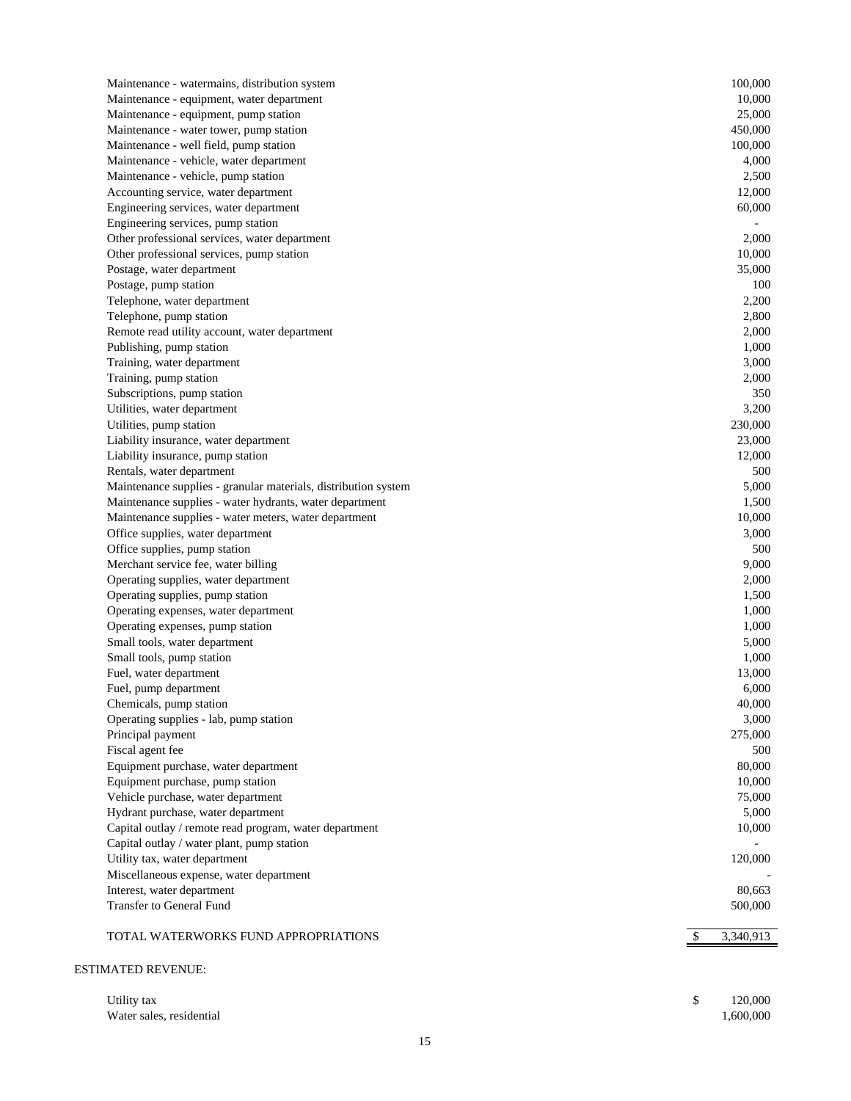| Maintenance - watermains, distribution system                  | 100,000         |
|----------------------------------------------------------------|-----------------|
| Maintenance - equipment, water department                      | 10,000          |
| Maintenance - equipment, pump station                          | 25,000          |
| Maintenance - water tower, pump station                        | 450,000         |
| Maintenance - well field, pump station                         | 100,000         |
| Maintenance - vehicle, water department                        | 4,000           |
| Maintenance - vehicle, pump station                            | 2,500           |
| Accounting service, water department                           | 12,000          |
| Engineering services, water department                         | 60,000          |
| Engineering services, pump station                             |                 |
| Other professional services, water department                  | 2.000           |
| Other professional services, pump station                      | 10,000          |
| Postage, water department                                      | 35,000          |
| Postage, pump station                                          | 100             |
| Telephone, water department                                    | 2,200           |
| Telephone, pump station                                        | 2,800           |
| Remote read utility account, water department                  | 2,000           |
| Publishing, pump station                                       | 1,000           |
| Training, water department                                     | 3,000           |
| Training, pump station                                         | 2,000           |
| Subscriptions, pump station                                    | 350             |
| Utilities, water department                                    | 3,200           |
| Utilities, pump station                                        | 230,000         |
| Liability insurance, water department                          | 23,000          |
| Liability insurance, pump station                              | 12,000          |
| Rentals, water department                                      | 500             |
| Maintenance supplies - granular materials, distribution system | 5,000           |
| Maintenance supplies - water hydrants, water department        | 1,500           |
| Maintenance supplies - water meters, water department          | 10,000          |
| Office supplies, water department                              | 3,000           |
| Office supplies, pump station                                  | 500             |
| Merchant service fee, water billing                            | 9,000           |
| Operating supplies, water department                           | 2,000           |
| Operating supplies, pump station                               | 1,500           |
| Operating expenses, water department                           | 1,000           |
| Operating expenses, pump station                               | 1,000           |
| Small tools, water department                                  | 5,000           |
| Small tools, pump station                                      | 1,000           |
| Fuel, water department                                         | 13,000          |
| Fuel, pump department                                          | 6,000           |
| Chemicals, pump station                                        | 40,000          |
| Operating supplies - lab, pump station                         | 3,000           |
| Principal payment                                              | 275,000         |
| Fiscal agent fee                                               | 500             |
| Equipment purchase, water department                           | 80,000          |
| Equipment purchase, pump station                               | 10,000          |
| Vehicle purchase, water department                             | 75,000          |
| Hydrant purchase, water department                             | 5,000           |
| Capital outlay / remote read program, water department         | 10,000          |
| Capital outlay / water plant, pump station                     |                 |
| Utility tax, water department                                  | 120,000         |
| Miscellaneous expense, water department                        |                 |
| Interest, water department                                     | 80,663          |
| Transfer to General Fund                                       | 500,000         |
| TOTAL WATERWORKS FUND APPROPRIATIONS                           | 3,340,913<br>\$ |
|                                                                |                 |
|                                                                |                 |

## ESTIMATED REVENUE:

| Utility tax              | 120,000   |
|--------------------------|-----------|
| Water sales, residential | 1,600,000 |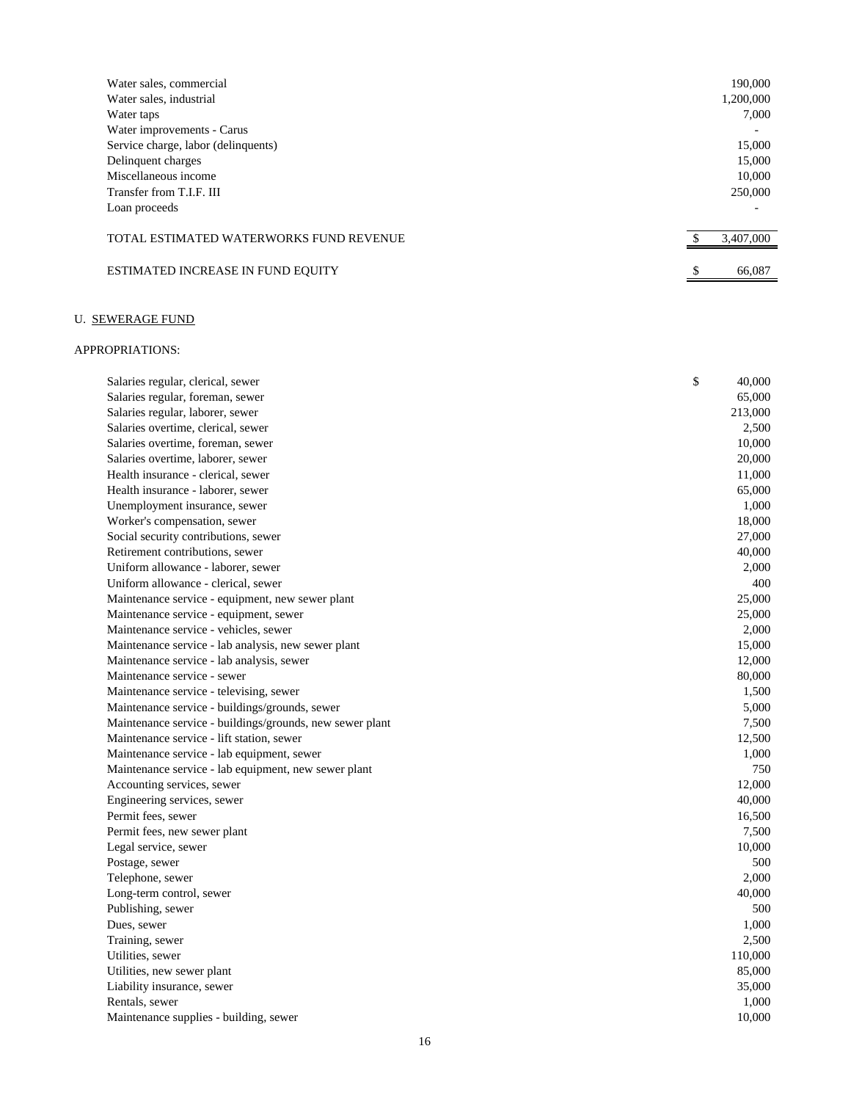| Water sales, commercial                 | 190,000                  |
|-----------------------------------------|--------------------------|
| Water sales, industrial                 | 1,200,000                |
| Water taps                              | 7.000                    |
| Water improvements - Carus              | $\overline{\phantom{0}}$ |
| Service charge, labor (delinquents)     | 15,000                   |
| Delinquent charges                      | 15,000                   |
| Miscellaneous income                    | 10,000                   |
| Transfer from T.I.F. III                | 250,000                  |
| Loan proceeds                           |                          |
|                                         |                          |
| TOTAL ESTIMATED WATERWORKS FUND REVENUE | 3,407,000                |
|                                         |                          |
| ESTIMATED INCREASE IN FUND EQUITY       | \$<br>66,087             |
|                                         |                          |

### U. SEWERAGE FUND

| Salaries regular, clerical, sewer                        | \$<br>40,000 |
|----------------------------------------------------------|--------------|
| Salaries regular, foreman, sewer                         | 65,000       |
| Salaries regular, laborer, sewer                         | 213,000      |
| Salaries overtime, clerical, sewer                       | 2,500        |
| Salaries overtime, foreman, sewer                        | 10,000       |
| Salaries overtime, laborer, sewer                        | 20,000       |
| Health insurance - clerical, sewer                       | 11,000       |
| Health insurance - laborer, sewer                        | 65,000       |
| Unemployment insurance, sewer                            | 1,000        |
|                                                          | 18,000       |
| Worker's compensation, sewer                             |              |
| Social security contributions, sewer                     | 27,000       |
| Retirement contributions, sewer                          | 40,000       |
| Uniform allowance - laborer, sewer                       | 2,000        |
| Uniform allowance - clerical, sewer                      | 400          |
| Maintenance service - equipment, new sewer plant         | 25,000       |
| Maintenance service - equipment, sewer                   | 25,000       |
| Maintenance service - vehicles, sewer                    | 2,000        |
| Maintenance service - lab analysis, new sewer plant      | 15,000       |
| Maintenance service - lab analysis, sewer                | 12,000       |
| Maintenance service - sewer                              | 80,000       |
| Maintenance service - televising, sewer                  | 1,500        |
| Maintenance service - buildings/grounds, sewer           | 5,000        |
| Maintenance service - buildings/grounds, new sewer plant | 7,500        |
| Maintenance service - lift station, sewer                | 12,500       |
| Maintenance service - lab equipment, sewer               | 1,000        |
| Maintenance service - lab equipment, new sewer plant     | 750          |
| Accounting services, sewer                               | 12,000       |
| Engineering services, sewer                              | 40,000       |
| Permit fees, sewer                                       | 16,500       |
| Permit fees, new sewer plant                             | 7,500        |
| Legal service, sewer                                     | 10,000       |
| Postage, sewer                                           | 500          |
| Telephone, sewer                                         | 2,000        |
| Long-term control, sewer                                 | 40,000       |
| Publishing, sewer                                        | 500          |
| Dues, sewer                                              | 1,000        |
| Training, sewer                                          | 2,500        |
| Utilities, sewer                                         | 110,000      |
| Utilities, new sewer plant                               | 85,000       |
| Liability insurance, sewer                               | 35,000       |
| Rentals, sewer                                           | 1,000        |
| Maintenance supplies - building, sewer                   | 10,000       |
|                                                          |              |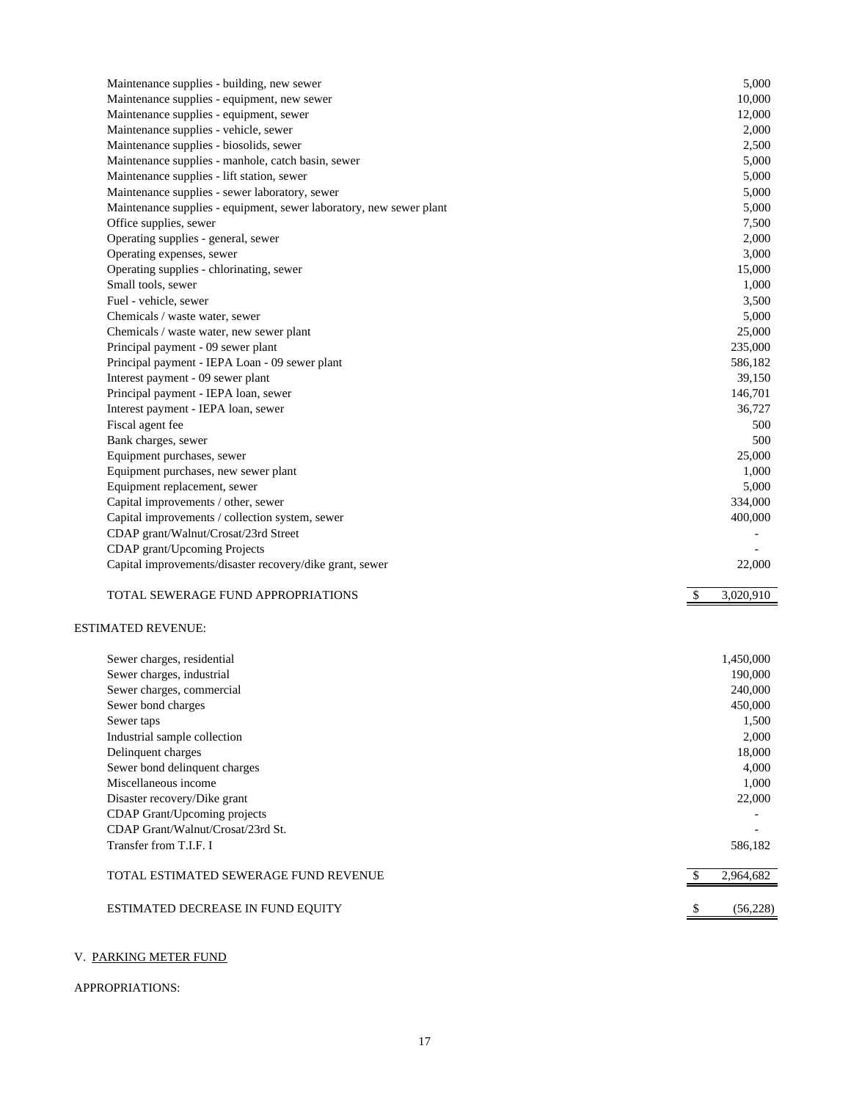| Maintenance supplies - building, new sewer                          | 5,000           |
|---------------------------------------------------------------------|-----------------|
| Maintenance supplies - equipment, new sewer                         | 10,000          |
| Maintenance supplies - equipment, sewer                             | 12,000          |
| Maintenance supplies - vehicle, sewer                               | 2,000           |
| Maintenance supplies - biosolids, sewer                             | 2,500           |
| Maintenance supplies - manhole, catch basin, sewer                  | 5,000           |
| Maintenance supplies - lift station, sewer                          | 5,000           |
| Maintenance supplies - sewer laboratory, sewer                      | 5,000           |
| Maintenance supplies - equipment, sewer laboratory, new sewer plant | 5,000           |
| Office supplies, sewer                                              | 7,500           |
| Operating supplies - general, sewer                                 | 2,000           |
| Operating expenses, sewer                                           | 3,000           |
| Operating supplies - chlorinating, sewer                            | 15,000          |
| Small tools, sewer                                                  | 1,000           |
| Fuel - vehicle, sewer                                               | 3,500           |
| Chemicals / waste water, sewer                                      | 5,000           |
| Chemicals / waste water, new sewer plant                            | 25,000          |
| Principal payment - 09 sewer plant                                  | 235,000         |
| Principal payment - IEPA Loan - 09 sewer plant                      | 586,182         |
| Interest payment - 09 sewer plant                                   | 39,150          |
| Principal payment - IEPA loan, sewer                                | 146,701         |
| Interest payment - IEPA loan, sewer                                 | 36,727          |
| Fiscal agent fee                                                    | 500             |
| Bank charges, sewer                                                 | 500             |
| Equipment purchases, sewer                                          | 25,000          |
| Equipment purchases, new sewer plant                                | 1,000           |
| Equipment replacement, sewer                                        | 5,000           |
| Capital improvements / other, sewer                                 | 334,000         |
| Capital improvements / collection system, sewer                     | 400,000         |
| CDAP grant/Walnut/Crosat/23rd Street                                |                 |
| CDAP grant/Upcoming Projects                                        |                 |
| Capital improvements/disaster recovery/dike grant, sewer            | 22,000          |
|                                                                     |                 |
| TOTAL SEWERAGE FUND APPROPRIATIONS                                  | 3,020,910<br>\$ |
| <b>ESTIMATED REVENUE:</b>                                           |                 |
| Sewer charges, residential                                          | 1,450,000       |
| Sewer charges, industrial                                           | 190,000         |
| Sewer charges, commercial                                           | 240,000         |
| Sewer bond charges                                                  | 450,000         |
| Sewer taps                                                          | 1,500           |
| Industrial sample collection                                        | 2,000           |
| Delinquent charges                                                  | 18,000          |
| Sewer bond delinquent charges                                       | 4,000           |
| Miscellaneous income                                                | 1,000           |
| Disaster recovery/Dike grant                                        | 22,000          |
| CDAP Grant/Upcoming projects                                        |                 |
| CDAP Grant/Walnut/Crosat/23rd St.                                   |                 |
| Transfer from T.I.F. I                                              | 586,182         |
|                                                                     |                 |

# TOTAL ESTIMATED SEWERAGE FUND REVENUE 2,964,682

| ESTIMATED DECREASE IN FUND EQUITY |  |  |
|-----------------------------------|--|--|

### V. PARKING METER FUND

## APPROPRIATIONS:

 $$5(56,228)$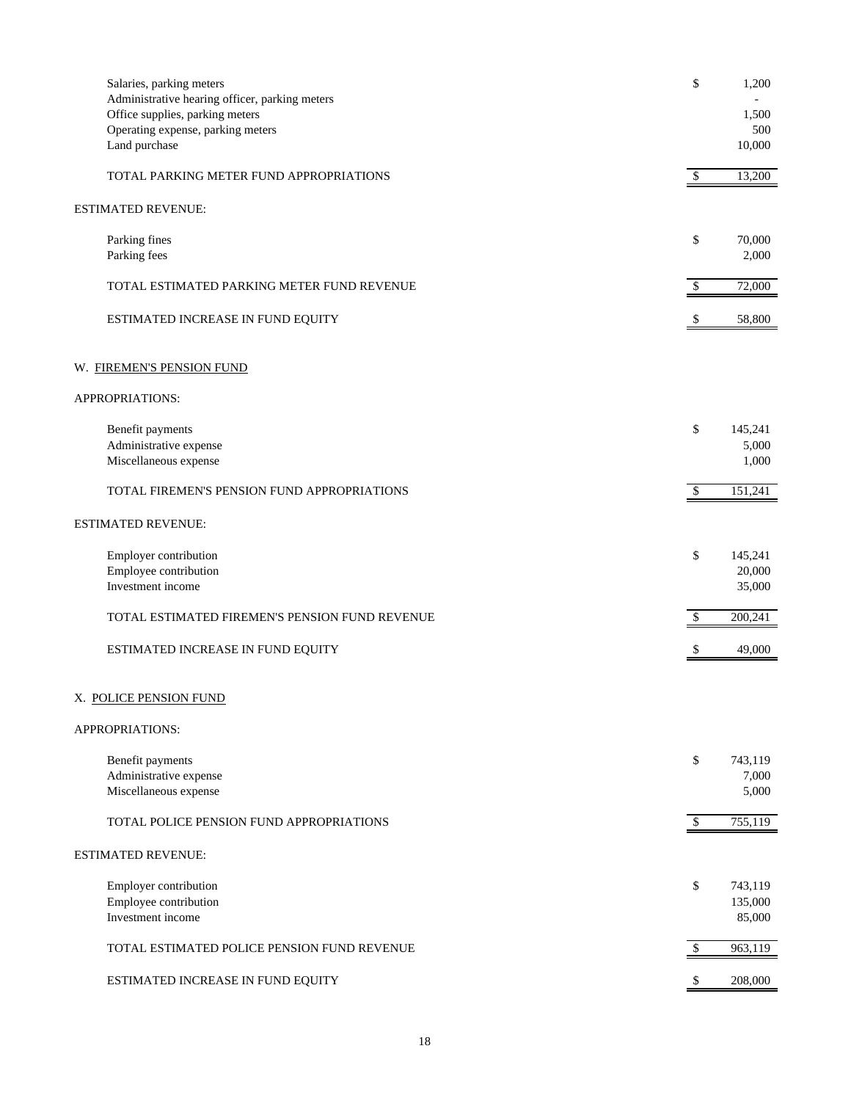| Salaries, parking meters<br>Administrative hearing officer, parking meters            | \$            | 1,200                        |
|---------------------------------------------------------------------------------------|---------------|------------------------------|
| Office supplies, parking meters<br>Operating expense, parking meters<br>Land purchase |               | 1,500<br>500<br>10,000       |
| TOTAL PARKING METER FUND APPROPRIATIONS                                               | $\mathcal{S}$ | 13,200                       |
| <b>ESTIMATED REVENUE:</b>                                                             |               |                              |
| Parking fines<br>Parking fees                                                         | \$            | 70,000<br>2,000              |
| TOTAL ESTIMATED PARKING METER FUND REVENUE                                            | \$            | 72,000                       |
| ESTIMATED INCREASE IN FUND EQUITY                                                     |               | 58,800                       |
| W. FIREMEN'S PENSION FUND                                                             |               |                              |
| APPROPRIATIONS:                                                                       |               |                              |
| Benefit payments<br>Administrative expense<br>Miscellaneous expense                   | \$            | 145,241<br>5,000<br>1,000    |
| TOTAL FIREMEN'S PENSION FUND APPROPRIATIONS                                           | -S            | 151,241                      |
| <b>ESTIMATED REVENUE:</b>                                                             |               |                              |
| Employer contribution<br>Employee contribution<br>Investment income                   | \$            | 145,241<br>20,000<br>35,000  |
| TOTAL ESTIMATED FIREMEN'S PENSION FUND REVENUE                                        | \$            | 200,241                      |
| ESTIMATED INCREASE IN FUND EQUITY                                                     |               | 49,000                       |
| X. POLICE PENSION FUND                                                                |               |                              |
| APPROPRIATIONS:                                                                       |               |                              |
| Benefit payments<br>Administrative expense<br>Miscellaneous expense                   | \$            | 743,119<br>7,000<br>5,000    |
| TOTAL POLICE PENSION FUND APPROPRIATIONS                                              | $\sqrt{3}$    | 755,119                      |
| ESTIMATED REVENUE:                                                                    |               |                              |
| Employer contribution<br>Employee contribution<br>Investment income                   | \$            | 743,119<br>135,000<br>85,000 |
| TOTAL ESTIMATED POLICE PENSION FUND REVENUE                                           | $\mathcal{S}$ | 963,119                      |
| ESTIMATED INCREASE IN FUND EQUITY                                                     | \$            | 208,000                      |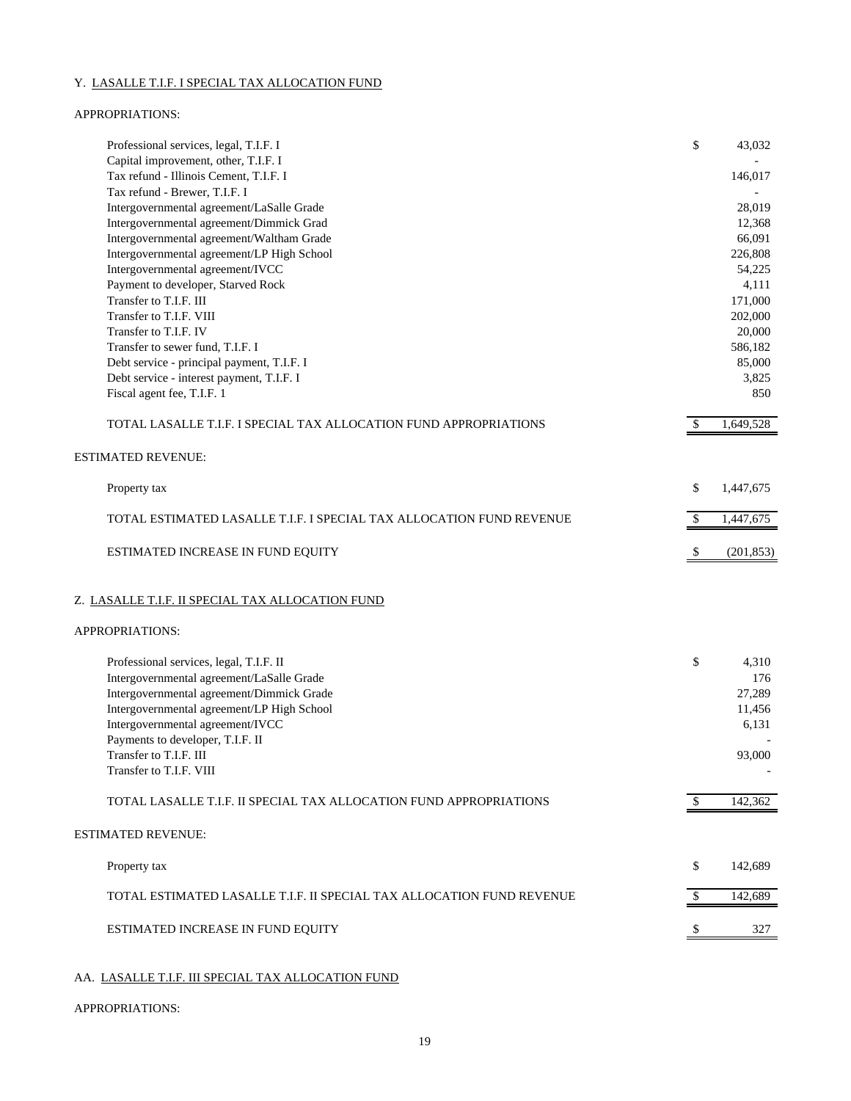### Y. LASALLE T.I.F. I SPECIAL TAX ALLOCATION FUND

#### APPROPRIATIONS:

| Professional services, legal, T.I.F. I<br>Capital improvement, other, T.I.F. I          | \$            | 43,032            |
|-----------------------------------------------------------------------------------------|---------------|-------------------|
| Tax refund - Illinois Cement, T.I.F. I                                                  |               | 146,017           |
| Tax refund - Brewer, T.I.F. I                                                           |               |                   |
| Intergovernmental agreement/LaSalle Grade                                               |               | 28.019            |
| Intergovernmental agreement/Dimmick Grad                                                |               | 12,368            |
| Intergovernmental agreement/Waltham Grade                                               |               | 66,091            |
| Intergovernmental agreement/LP High School                                              |               | 226,808           |
| Intergovernmental agreement/IVCC                                                        |               | 54,225            |
| Payment to developer, Starved Rock                                                      |               | 4,111             |
| Transfer to T.I.F. III                                                                  |               | 171,000           |
| Transfer to T.I.F. VIII                                                                 |               | 202,000           |
| Transfer to T.I.F. IV                                                                   |               | 20,000            |
| Transfer to sewer fund, T.I.F. I                                                        |               | 586,182<br>85,000 |
| Debt service - principal payment, T.I.F. I<br>Debt service - interest payment, T.I.F. I |               | 3,825             |
| Fiscal agent fee, T.I.F. 1                                                              |               | 850               |
|                                                                                         |               |                   |
| TOTAL LASALLE T.I.F. I SPECIAL TAX ALLOCATION FUND APPROPRIATIONS                       | <sup>\$</sup> | 1,649,528         |
| <b>ESTIMATED REVENUE:</b>                                                               |               |                   |
| Property tax                                                                            | \$            | 1,447,675         |
|                                                                                         |               |                   |
| TOTAL ESTIMATED LASALLE T.I.F. I SPECIAL TAX ALLOCATION FUND REVENUE                    | \$            | 1,447,675         |
| ESTIMATED INCREASE IN FUND EQUITY                                                       | $\mathcal{S}$ | (201, 853)        |
| Z. LASALLE T.I.F. II SPECIAL TAX ALLOCATION FUND                                        |               |                   |
| APPROPRIATIONS:                                                                         |               |                   |
| Professional services, legal, T.I.F. II                                                 | \$            | 4,310             |
| Intergovernmental agreement/LaSalle Grade                                               |               | 176               |
| Intergovernmental agreement/Dimmick Grade                                               |               | 27,289            |
| Intergovernmental agreement/LP High School                                              |               | 11,456            |
| Intergovernmental agreement/IVCC                                                        |               | 6,131             |
| Payments to developer, T.I.F. II                                                        |               |                   |
| Transfer to T.I.F. III                                                                  |               | 93,000            |
| Transfer to T.I.F. VIII                                                                 |               |                   |
| TOTAL LASALLE T.I.F. II SPECIAL TAX ALLOCATION FUND APPROPRIATIONS                      | \$            | 142,362           |
| <b>ESTIMATED REVENUE:</b>                                                               |               |                   |
|                                                                                         |               |                   |
| Property tax                                                                            | \$            | 142,689           |
| TOTAL ESTIMATED LASALLE T.I.F. II SPECIAL TAX ALLOCATION FUND REVENUE                   | \$            | 142,689           |
| ESTIMATED INCREASE IN FUND EQUITY                                                       |               | 327               |
|                                                                                         |               |                   |

### AA. LASALLE T.I.F. III SPECIAL TAX ALLOCATION FUND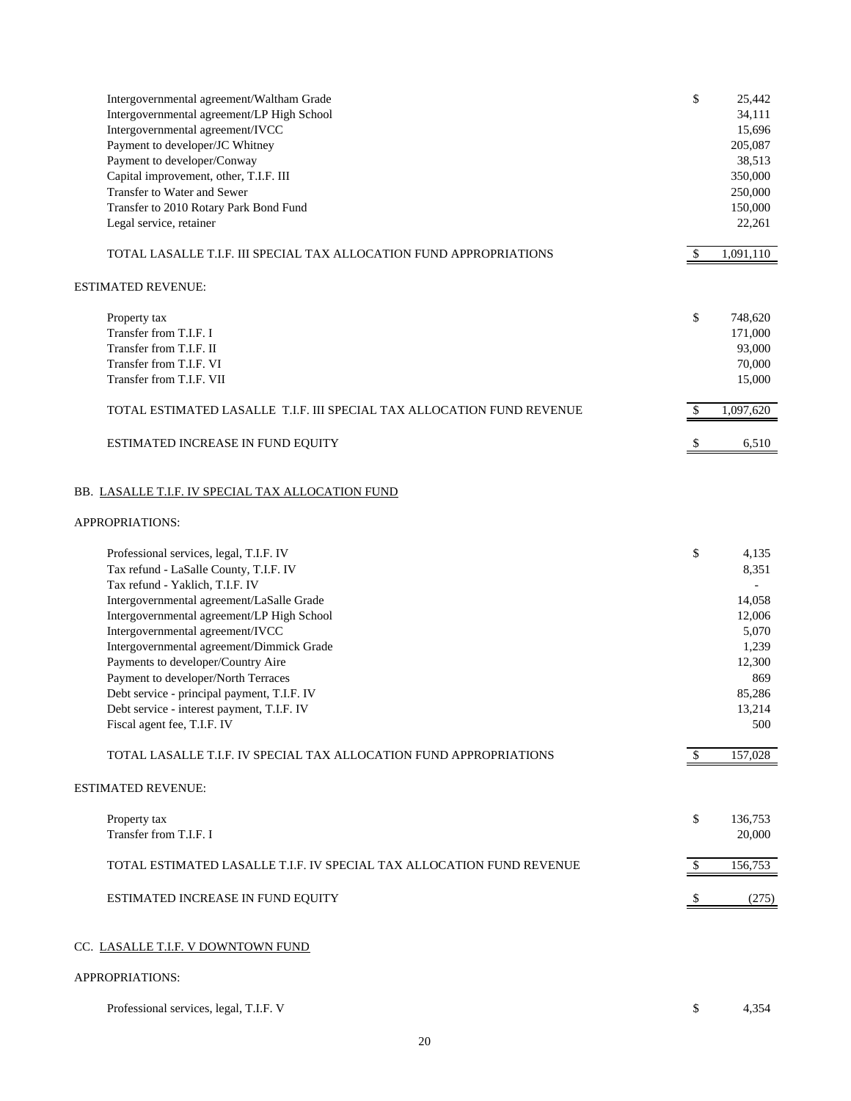| Intergovernmental agreement/Waltham Grade                                 | \$            | 25,442        |
|---------------------------------------------------------------------------|---------------|---------------|
| Intergovernmental agreement/LP High School                                |               | 34,111        |
| Intergovernmental agreement/IVCC                                          |               | 15,696        |
| Payment to developer/JC Whitney                                           |               | 205,087       |
| Payment to developer/Conway                                               |               | 38,513        |
| Capital improvement, other, T.I.F. III                                    |               | 350,000       |
| Transfer to Water and Sewer                                               |               | 250,000       |
| Transfer to 2010 Rotary Park Bond Fund                                    |               | 150,000       |
| Legal service, retainer                                                   |               | 22,261        |
| TOTAL LASALLE T.I.F. III SPECIAL TAX ALLOCATION FUND APPROPRIATIONS       | $\mathcal{S}$ | 1,091,110     |
| <b>ESTIMATED REVENUE:</b>                                                 |               |               |
| Property tax                                                              | \$            | 748,620       |
| Transfer from T.I.F. I                                                    |               | 171,000       |
| Transfer from T.I.F. II                                                   |               | 93,000        |
| Transfer from T.I.F. VI                                                   |               | 70,000        |
| Transfer from T.I.F. VII                                                  |               | 15,000        |
|                                                                           |               |               |
| TOTAL ESTIMATED LASALLE T.I.F. III SPECIAL TAX ALLOCATION FUND REVENUE    | $\mathcal{L}$ | 1,097,620     |
| ESTIMATED INCREASE IN FUND EQUITY                                         | -\$           | 6,510         |
| BB. LASALLE T.I.F. IV SPECIAL TAX ALLOCATION FUND                         |               |               |
| APPROPRIATIONS:                                                           |               |               |
| Professional services, legal, T.I.F. IV                                   | \$            | 4,135         |
| Tax refund - LaSalle County, T.I.F. IV                                    |               | 8,351         |
| Tax refund - Yaklich, T.I.F. IV                                           |               |               |
| Intergovernmental agreement/LaSalle Grade                                 |               | 14,058        |
| Intergovernmental agreement/LP High School                                |               | 12,006        |
| Intergovernmental agreement/IVCC                                          |               | 5,070         |
| Intergovernmental agreement/Dimmick Grade                                 |               | 1,239         |
| Payments to developer/Country Aire                                        |               |               |
|                                                                           |               | 12,300        |
| Payment to developer/North Terraces                                       |               | 869           |
| Debt service - principal payment, T.I.F. IV                               |               | 85,286        |
| Debt service - interest payment, T.I.F. IV<br>Fiscal agent fee, T.I.F. IV |               | 13,214<br>500 |
| TOTAL LASALLE T.I.F. IV SPECIAL TAX ALLOCATION FUND APPROPRIATIONS        | <sup>\$</sup> | 157,028       |
| <b>ESTIMATED REVENUE:</b>                                                 |               |               |
|                                                                           |               |               |
| Property tax                                                              | \$            | 136,753       |
| Transfer from T.I.F. I                                                    |               | 20,000        |
| TOTAL ESTIMATED LASALLE T.I.F. IV SPECIAL TAX ALLOCATION FUND REVENUE     | \$            | 156,753       |
| ESTIMATED INCREASE IN FUND EQUITY                                         |               | (275)         |
| CC. LASALLE T.I.F. V DOWNTOWN FUND                                        |               |               |
| APPROPRIATIONS:                                                           |               |               |
| Professional services, legal, T.I.F. V                                    | \$            | 4,354         |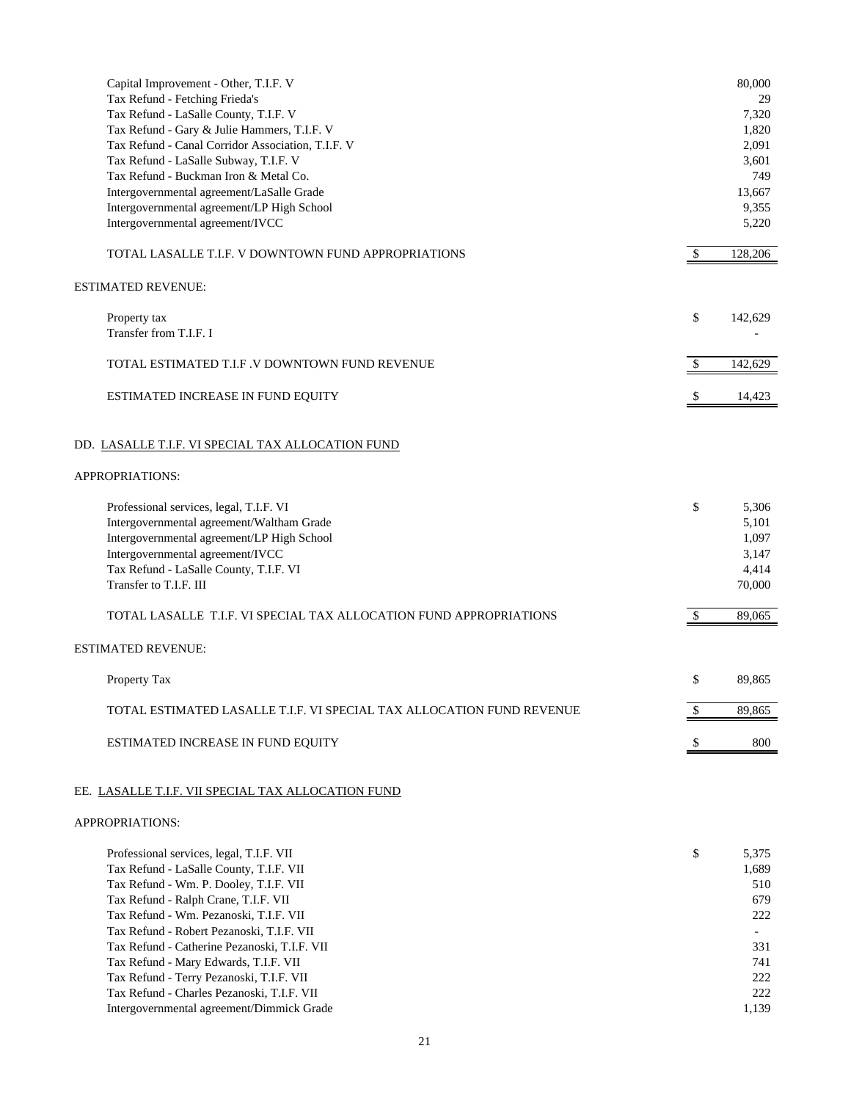| Capital Improvement - Other, T.I.F. V<br>Tax Refund - Fetching Frieda's<br>Tax Refund - LaSalle County, T.I.F. V<br>Tax Refund - Gary & Julie Hammers, T.I.F. V<br>Tax Refund - Canal Corridor Association, T.I.F. V<br>Tax Refund - LaSalle Subway, T.I.F. V<br>Tax Refund - Buckman Iron & Metal Co.<br>Intergovernmental agreement/LaSalle Grade<br>Intergovernmental agreement/LP High School<br>Intergovernmental agreement/IVCC           |               | 80,000<br>29<br>7,320<br>1,820<br>2,091<br>3,601<br>749<br>13,667<br>9,355<br>5,220 |
|-------------------------------------------------------------------------------------------------------------------------------------------------------------------------------------------------------------------------------------------------------------------------------------------------------------------------------------------------------------------------------------------------------------------------------------------------|---------------|-------------------------------------------------------------------------------------|
| TOTAL LASALLE T.I.F. V DOWNTOWN FUND APPROPRIATIONS                                                                                                                                                                                                                                                                                                                                                                                             | $\mathcal{S}$ | 128,206                                                                             |
| ESTIMATED REVENUE:                                                                                                                                                                                                                                                                                                                                                                                                                              |               |                                                                                     |
| Property tax<br>Transfer from T.I.F. I                                                                                                                                                                                                                                                                                                                                                                                                          | \$            | 142,629                                                                             |
| TOTAL ESTIMATED T.I.F .V DOWNTOWN FUND REVENUE                                                                                                                                                                                                                                                                                                                                                                                                  | $\mathcal{S}$ | 142,629                                                                             |
| ESTIMATED INCREASE IN FUND EQUITY                                                                                                                                                                                                                                                                                                                                                                                                               |               | 14,423                                                                              |
| DD. LASALLE T.I.F. VI SPECIAL TAX ALLOCATION FUND<br>APPROPRIATIONS:                                                                                                                                                                                                                                                                                                                                                                            |               |                                                                                     |
|                                                                                                                                                                                                                                                                                                                                                                                                                                                 |               |                                                                                     |
| Professional services, legal, T.I.F. VI<br>Intergovernmental agreement/Waltham Grade<br>Intergovernmental agreement/LP High School<br>Intergovernmental agreement/IVCC<br>Tax Refund - LaSalle County, T.I.F. VI<br>Transfer to T.I.F. III                                                                                                                                                                                                      | \$            | 5,306<br>5,101<br>1,097<br>3,147<br>4,414<br>70,000                                 |
| TOTAL LASALLE  T.I.F. VI SPECIAL TAX ALLOCATION FUND APPROPRIATIONS                                                                                                                                                                                                                                                                                                                                                                             | <sup>\$</sup> | 89,065                                                                              |
| ESTIMATED REVENUE:                                                                                                                                                                                                                                                                                                                                                                                                                              |               |                                                                                     |
| Property Tax                                                                                                                                                                                                                                                                                                                                                                                                                                    | \$            | 89,865                                                                              |
| TOTAL ESTIMATED LASALLE T.I.F. VI SPECIAL TAX ALLOCATION FUND REVENUE                                                                                                                                                                                                                                                                                                                                                                           | $\mathcal{S}$ | 89,865                                                                              |
| ESTIMATED INCREASE IN FUND EQUITY                                                                                                                                                                                                                                                                                                                                                                                                               | -S            | 800                                                                                 |
| EE. LASALLE T.I.F. VII SPECIAL TAX ALLOCATION FUND                                                                                                                                                                                                                                                                                                                                                                                              |               |                                                                                     |
| APPROPRIATIONS:                                                                                                                                                                                                                                                                                                                                                                                                                                 |               |                                                                                     |
| Professional services, legal, T.I.F. VII<br>Tax Refund - LaSalle County, T.I.F. VII<br>Tax Refund - Wm. P. Dooley, T.I.F. VII<br>Tax Refund - Ralph Crane, T.I.F. VII<br>Tax Refund - Wm. Pezanoski, T.I.F. VII<br>Tax Refund - Robert Pezanoski, T.I.F. VII<br>Tax Refund - Catherine Pezanoski, T.I.F. VII<br>Tax Refund - Mary Edwards, T.I.F. VII<br>Tax Refund - Terry Pezanoski, T.I.F. VII<br>Tax Refund - Charles Pezanoski, T.I.F. VII | \$            | 5,375<br>1,689<br>510<br>679<br>222<br>331<br>741<br>222<br>222                     |
| Intergovernmental agreement/Dimmick Grade                                                                                                                                                                                                                                                                                                                                                                                                       |               | 1,139                                                                               |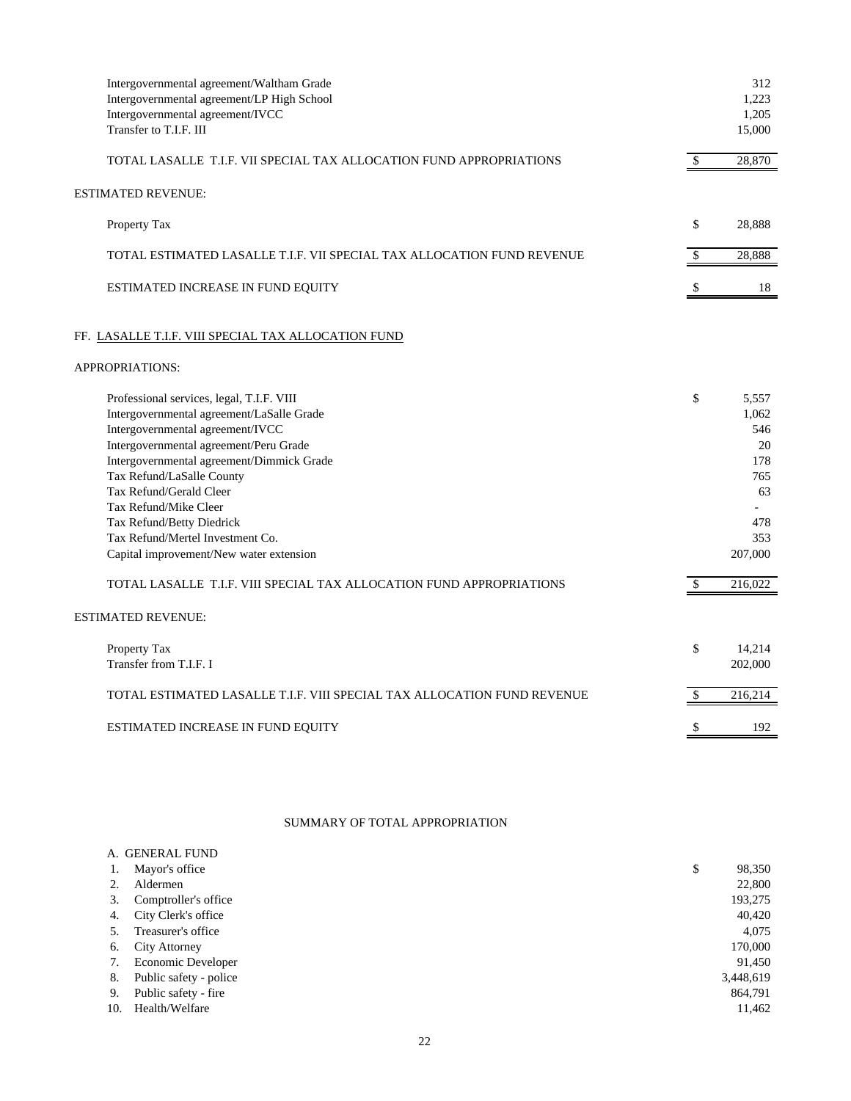| Intergovernmental agreement/Waltham Grade<br>Intergovernmental agreement/LP High School<br>Intergovernmental agreement/IVCC<br>Transfer to T.I.F. III                                                                                                                                                                           |               | 312<br>1,223<br>1,205<br>15,000                        |
|---------------------------------------------------------------------------------------------------------------------------------------------------------------------------------------------------------------------------------------------------------------------------------------------------------------------------------|---------------|--------------------------------------------------------|
| TOTAL LASALLE T.I.F. VII SPECIAL TAX ALLOCATION FUND APPROPRIATIONS                                                                                                                                                                                                                                                             | \$            | 28,870                                                 |
| ESTIMATED REVENUE:                                                                                                                                                                                                                                                                                                              |               |                                                        |
| Property Tax                                                                                                                                                                                                                                                                                                                    | \$            | 28,888                                                 |
| TOTAL ESTIMATED LASALLE T.I.F. VII SPECIAL TAX ALLOCATION FUND REVENUE                                                                                                                                                                                                                                                          | \$            | 28,888                                                 |
| ESTIMATED INCREASE IN FUND EQUITY                                                                                                                                                                                                                                                                                               | $\mathbb{S}$  | 18                                                     |
| FF. LASALLE T.I.F. VIII SPECIAL TAX ALLOCATION FUND                                                                                                                                                                                                                                                                             |               |                                                        |
| APPROPRIATIONS:                                                                                                                                                                                                                                                                                                                 |               |                                                        |
| Professional services, legal, T.I.F. VIII<br>Intergovernmental agreement/LaSalle Grade<br>Intergovernmental agreement/IVCC<br>Intergovernmental agreement/Peru Grade<br>Intergovernmental agreement/Dimmick Grade<br>Tax Refund/LaSalle County<br>Tax Refund/Gerald Cleer<br>Tax Refund/Mike Cleer<br>Tax Refund/Betty Diedrick | \$            | 5,557<br>1,062<br>546<br>20<br>178<br>765<br>63<br>478 |
| Tax Refund/Mertel Investment Co.<br>Capital improvement/New water extension                                                                                                                                                                                                                                                     |               | 353<br>207,000                                         |
| TOTAL LASALLE T.I.F. VIII SPECIAL TAX ALLOCATION FUND APPROPRIATIONS                                                                                                                                                                                                                                                            | $\mathcal{S}$ | 216,022                                                |
| <b>ESTIMATED REVENUE:</b>                                                                                                                                                                                                                                                                                                       |               |                                                        |
| Property Tax<br>Transfer from T.I.F. I                                                                                                                                                                                                                                                                                          | \$            | 14,214<br>202,000                                      |
| TOTAL ESTIMATED LASALLE T.I.F. VIII SPECIAL TAX ALLOCATION FUND REVENUE                                                                                                                                                                                                                                                         | \$            | 216,214                                                |
| ESTIMATED INCREASE IN FUND EQUITY                                                                                                                                                                                                                                                                                               | \$            | 192                                                    |
|                                                                                                                                                                                                                                                                                                                                 |               |                                                        |

# SUMMARY OF TOTAL APPROPRIATION

|     | A. GENERAL FUND           |              |
|-----|---------------------------|--------------|
| Ι.  | Mayor's office            | \$<br>98,350 |
|     | Aldermen                  | 22,800       |
| 3.  | Comptroller's office      | 193,275      |
| 4.  | City Clerk's office       | 40,420       |
| 5.  | Treasurer's office        | 4,075        |
| 6.  | <b>City Attorney</b>      | 170,000      |
| 7.  | <b>Economic Developer</b> | 91,450       |
| 8.  | Public safety - police    | 3,448,619    |
| 9.  | Public safety - fire      | 864,791      |
| 10. | Health/Welfare            | 11,462       |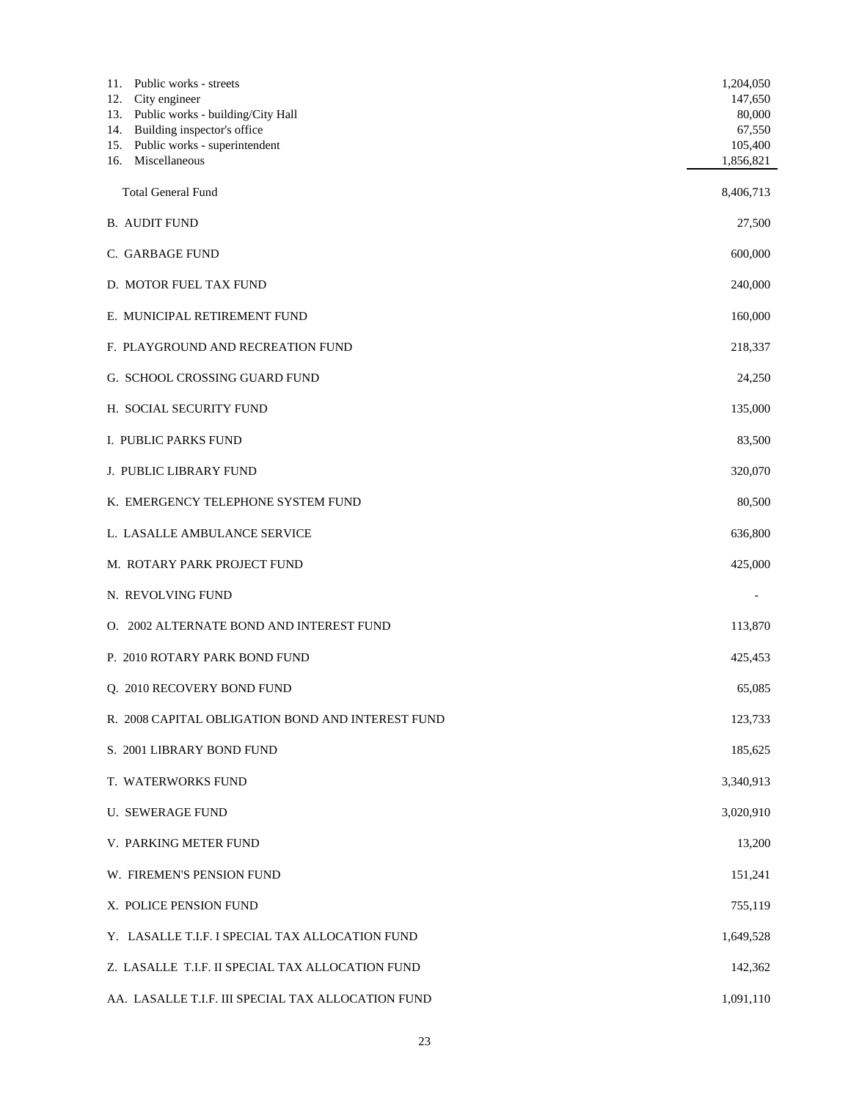| 11. Public works - streets<br>City engineer<br>12.<br>Public works - building/City Hall<br>13.<br>14. Building inspector's office<br>15. Public works - superintendent<br>16. Miscellaneous | 1,204,050<br>147,650<br>80,000<br>67,550<br>105,400<br>1,856,821 |
|---------------------------------------------------------------------------------------------------------------------------------------------------------------------------------------------|------------------------------------------------------------------|
| <b>Total General Fund</b>                                                                                                                                                                   | 8,406,713                                                        |
| <b>B. AUDIT FUND</b>                                                                                                                                                                        | 27,500                                                           |
| C. GARBAGE FUND                                                                                                                                                                             | 600,000                                                          |
| D. MOTOR FUEL TAX FUND                                                                                                                                                                      | 240,000                                                          |
| E. MUNICIPAL RETIREMENT FUND                                                                                                                                                                | 160,000                                                          |
| F. PLAYGROUND AND RECREATION FUND                                                                                                                                                           | 218,337                                                          |
| G. SCHOOL CROSSING GUARD FUND                                                                                                                                                               | 24,250                                                           |
| H. SOCIAL SECURITY FUND                                                                                                                                                                     | 135,000                                                          |
| I. PUBLIC PARKS FUND                                                                                                                                                                        | 83,500                                                           |
| J. PUBLIC LIBRARY FUND                                                                                                                                                                      | 320,070                                                          |
| K. EMERGENCY TELEPHONE SYSTEM FUND                                                                                                                                                          | 80,500                                                           |
| L. LASALLE AMBULANCE SERVICE                                                                                                                                                                | 636,800                                                          |
| M. ROTARY PARK PROJECT FUND                                                                                                                                                                 | 425,000                                                          |
| N. REVOLVING FUND                                                                                                                                                                           |                                                                  |
| O. 2002 ALTERNATE BOND AND INTEREST FUND                                                                                                                                                    | 113,870                                                          |
| P. 2010 ROTARY PARK BOND FUND                                                                                                                                                               | 425,453                                                          |
| Q. 2010 RECOVERY BOND FUND                                                                                                                                                                  | 65,085                                                           |
| R. 2008 CAPITAL OBLIGATION BOND AND INTEREST FUND                                                                                                                                           | 123,733                                                          |
| S. 2001 LIBRARY BOND FUND                                                                                                                                                                   | 185,625                                                          |
| T. WATERWORKS FUND                                                                                                                                                                          | 3,340,913                                                        |
| <b>U. SEWERAGE FUND</b>                                                                                                                                                                     | 3,020,910                                                        |
| V. PARKING METER FUND                                                                                                                                                                       | 13,200                                                           |
| W. FIREMEN'S PENSION FUND                                                                                                                                                                   | 151,241                                                          |
| X. POLICE PENSION FUND                                                                                                                                                                      | 755,119                                                          |
| Y. LASALLE T.I.F. I SPECIAL TAX ALLOCATION FUND                                                                                                                                             | 1,649,528                                                        |
| Z. LASALLE T.I.F. II SPECIAL TAX ALLOCATION FUND                                                                                                                                            | 142,362                                                          |
| AA. LASALLE T.I.F. III SPECIAL TAX ALLOCATION FUND                                                                                                                                          | 1,091,110                                                        |